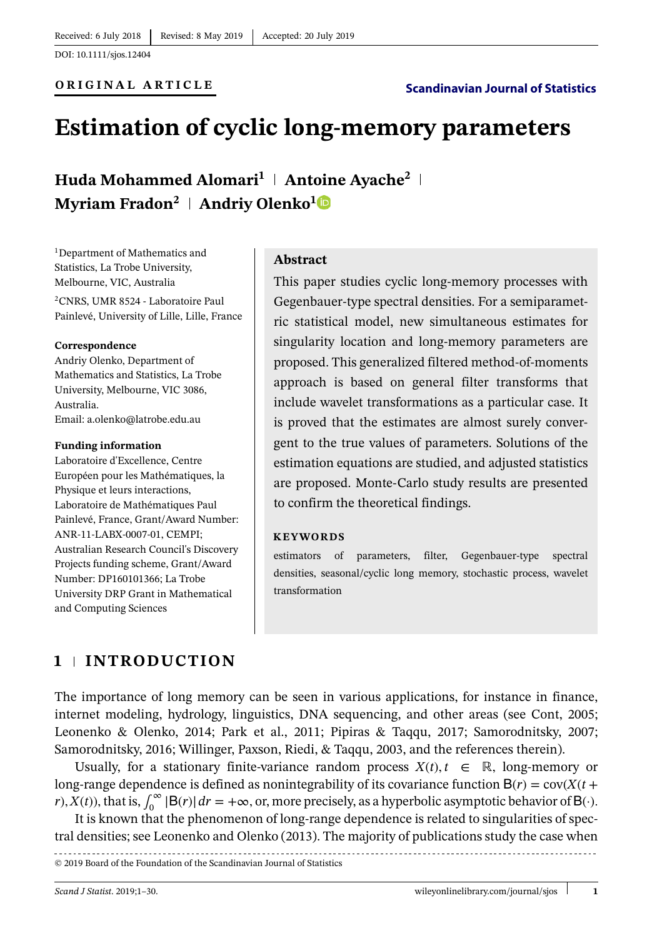# **Estimation of cyclic long-memory parameters**

**Huda Mohammed Alomari<sup>1</sup> Antoine Ayache<sup>2</sup> Myriam Fradon<sup>2</sup>** | **Andriy Olenko**<sup>[1](https://orcid.org/0000-0002-0917-7000)</sup>

<sup>1</sup>Department of Mathematics and Statistics, La Trobe University, Melbourne, VIC, Australia 2CNRS, UMR 8524 - Laboratoire Paul Painlevé, University of Lille, Lille, France

#### **Correspondence**

Andriy Olenko, Department of Mathematics and Statistics, La Trobe University, Melbourne, VIC 3086, Australia. Email: a.olenko@latrobe.edu.au

#### **Funding information**

Laboratoire d'Excellence, Centre Européen pour les Mathématiques, la Physique et leurs interactions, Laboratoire de Mathématiques Paul Painlevé, France, Grant/Award Number: ANR-11-LABX-0007-01, CEMPI; Australian Research Council's Discovery Projects funding scheme, Grant/Award Number: DP160101366; La Trobe University DRP Grant in Mathematical and Computing Sciences

#### **Abstract**

This paper studies cyclic long-memory processes with Gegenbauer-type spectral densities. For a semiparametric statistical model, new simultaneous estimates for singularity location and long-memory parameters are proposed. This generalized filtered method-of-moments approach is based on general filter transforms that include wavelet transformations as a particular case. It is proved that the estimates are almost surely convergent to the true values of parameters. Solutions of the estimation equations are studied, and adjusted statistics are proposed. Monte-Carlo study results are presented to confirm the theoretical findings.

#### **KEYWORDS**

estimators of parameters, filter, Gegenbauer-type spectral densities, seasonal/cyclic long memory, stochastic process, wavelet transformation

# **1 INTRODUCTION**

The importance of long memory can be seen in various applications, for instance in finance, internet modeling, hydrology, linguistics, DNA sequencing, and other areas (see Cont, 2005; Leonenko & Olenko, 2014; Park et al., 2011; Pipiras & Taqqu, 2017; Samorodnitsky, 2007; Samorodnitsky, 2016; Willinger, Paxson, Riedi, & Taqqu, 2003, and the references therein).

Usually, for a stationary finite-variance random process  $X(t)$ ,  $t \in \mathbb{R}$ , long-memory or long-range dependence is defined as nonintegrability of its covariance function  $B(r) = \text{cov}(X(t +$ *r*),  $X(t)$ , that is,  $\int_0^\infty |B(r)| dr = +\infty$ , or, more precisely, as a hyperbolic asymptotic behavior of B(·).

It is known that the phenomenon of long-range dependence is related to singularities of spectral densities; see Leonenko and Olenko (2013). The majority of publications study the case when

© 2019 Board of the Foundation of the Scandinavian Journal of Statistics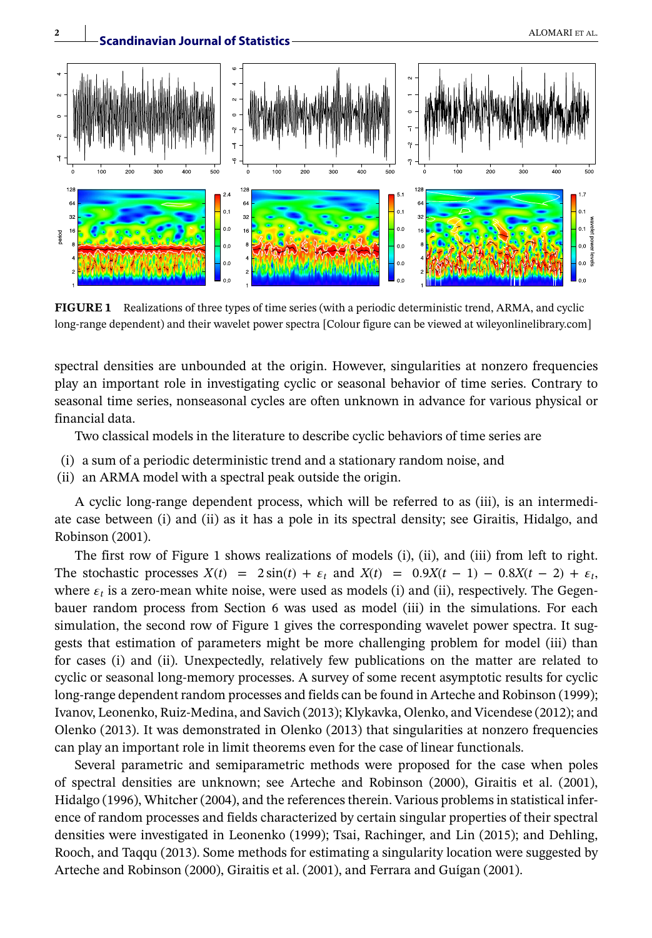

**FIGURE 1** Realizations of three types of time series (with a periodic deterministic trend, ARMA, and cyclic long-range dependent) and their wavelet power spectra [Colour figure can be viewed at [wileyonlinelibrary.com\]](http://wileyonlinelibrary.com)

spectral densities are unbounded at the origin. However, singularities at nonzero frequencies play an important role in investigating cyclic or seasonal behavior of time series. Contrary to seasonal time series, nonseasonal cycles are often unknown in advance for various physical or financial data.

Two classical models in the literature to describe cyclic behaviors of time series are

- (i) a sum of a periodic deterministic trend and a stationary random noise, and
- (ii) an ARMA model with a spectral peak outside the origin.

A cyclic long-range dependent process, which will be referred to as (iii), is an intermediate case between (i) and (ii) as it has a pole in its spectral density; see Giraitis, Hidalgo, and Robinson (2001).

The first row of Figure 1 shows realizations of models (i), (ii), and (iii) from left to right. The stochastic processes  $X(t) = 2 \sin(t) + \epsilon_t$  and  $X(t) = 0.9X(t - 1) - 0.8X(t - 2) + \epsilon_t$ , where  $\varepsilon_t$  is a zero-mean white noise, were used as models (i) and (ii), respectively. The Gegenbauer random process from Section 6 was used as model (iii) in the simulations. For each simulation, the second row of Figure 1 gives the corresponding wavelet power spectra. It suggests that estimation of parameters might be more challenging problem for model (iii) than for cases (i) and (ii). Unexpectedly, relatively few publications on the matter are related to cyclic or seasonal long-memory processes. A survey of some recent asymptotic results for cyclic long-range dependent random processes and fields can be found in Arteche and Robinson (1999); Ivanov, Leonenko, Ruiz-Medina, and Savich (2013); Klykavka, Olenko, and Vicendese (2012); and Olenko (2013). It was demonstrated in Olenko (2013) that singularities at nonzero frequencies can play an important role in limit theorems even for the case of linear functionals.

Several parametric and semiparametric methods were proposed for the case when poles of spectral densities are unknown; see Arteche and Robinson (2000), Giraitis et al. (2001), Hidalgo (1996), Whitcher (2004), and the references therein. Various problems in statistical inference of random processes and fields characterized by certain singular properties of their spectral densities were investigated in Leonenko (1999); Tsai, Rachinger, and Lin (2015); and Dehling, Rooch, and Taqqu (2013). Some methods for estimating a singularity location were suggested by Arteche and Robinson (2000), Giraitis et al. (2001), and Ferrara and Guígan (2001).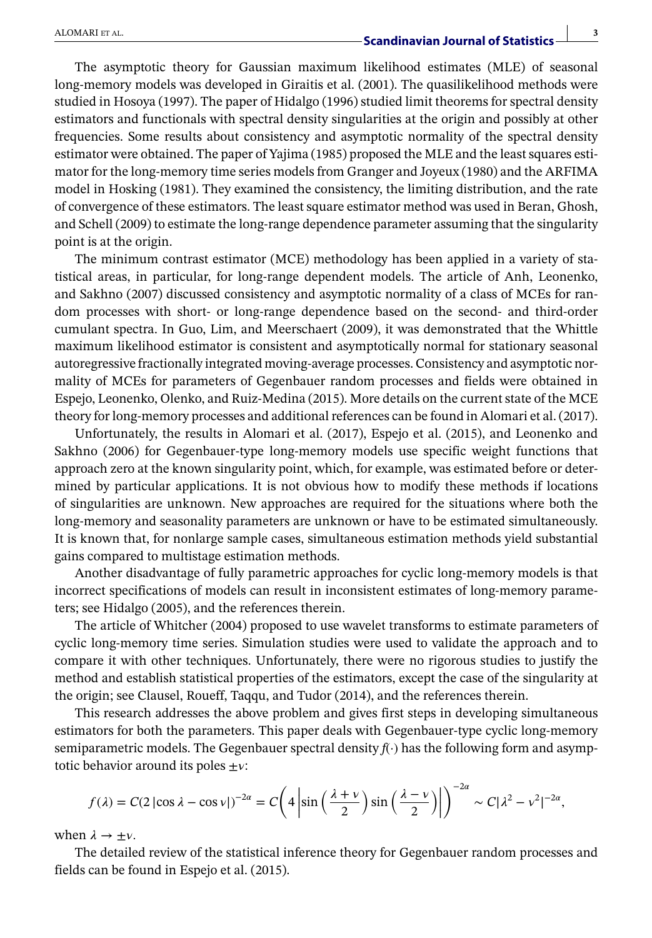The asymptotic theory for Gaussian maximum likelihood estimates (MLE) of seasonal long-memory models was developed in Giraitis et al. (2001). The quasilikelihood methods were studied in Hosoya (1997). The paper of Hidalgo (1996) studied limit theorems for spectral density estimators and functionals with spectral density singularities at the origin and possibly at other frequencies. Some results about consistency and asymptotic normality of the spectral density estimator were obtained. The paper of Yajima (1985) proposed the MLE and the least squares estimator for the long-memory time series models from Granger and Joyeux (1980) and the ARFIMA model in Hosking (1981). They examined the consistency, the limiting distribution, and the rate of convergence of these estimators. The least square estimator method was used in Beran, Ghosh, and Schell (2009) to estimate the long-range dependence parameter assuming that the singularity point is at the origin.

The minimum contrast estimator (MCE) methodology has been applied in a variety of statistical areas, in particular, for long-range dependent models. The article of Anh, Leonenko, and Sakhno (2007) discussed consistency and asymptotic normality of a class of MCEs for random processes with short- or long-range dependence based on the second- and third-order cumulant spectra. In Guo, Lim, and Meerschaert (2009), it was demonstrated that the Whittle maximum likelihood estimator is consistent and asymptotically normal for stationary seasonal autoregressive fractionally integrated moving-average processes. Consistency and asymptotic normality of MCEs for parameters of Gegenbauer random processes and fields were obtained in Espejo, Leonenko, Olenko, and Ruiz-Medina (2015). More details on the current state of the MCE theory for long-memory processes and additional references can be found in Alomari et al. (2017).

Unfortunately, the results in Alomari et al. (2017), Espejo et al. (2015), and Leonenko and Sakhno (2006) for Gegenbauer-type long-memory models use specific weight functions that approach zero at the known singularity point, which, for example, was estimated before or determined by particular applications. It is not obvious how to modify these methods if locations of singularities are unknown. New approaches are required for the situations where both the long-memory and seasonality parameters are unknown or have to be estimated simultaneously. It is known that, for nonlarge sample cases, simultaneous estimation methods yield substantial gains compared to multistage estimation methods.

Another disadvantage of fully parametric approaches for cyclic long-memory models is that incorrect specifications of models can result in inconsistent estimates of long-memory parameters; see Hidalgo (2005), and the references therein.

The article of Whitcher (2004) proposed to use wavelet transforms to estimate parameters of cyclic long-memory time series. Simulation studies were used to validate the approach and to compare it with other techniques. Unfortunately, there were no rigorous studies to justify the method and establish statistical properties of the estimators, except the case of the singularity at the origin; see Clausel, Roueff, Taqqu, and Tudor (2014), and the references therein.

This research addresses the above problem and gives first steps in developing simultaneous estimators for both the parameters. This paper deals with Gegenbauer-type cyclic long-memory semiparametric models. The Gegenbauer spectral density  $f(\cdot)$  has the following form and asymptotic behavior around its poles  $\pm v$ :

$$
f(\lambda) = C(2|\cos \lambda - \cos \nu|)^{-2\alpha} = C\left(4\left|\sin\left(\frac{\lambda + \nu}{2}\right)\sin\left(\frac{\lambda - \nu}{2}\right)\right|\right)^{-2\alpha} \sim C|\lambda^2 - \nu^2|^{-2\alpha},
$$

when  $\lambda \rightarrow \pm \nu$ .

The detailed review of the statistical inference theory for Gegenbauer random processes and fields can be found in Espejo et al. (2015).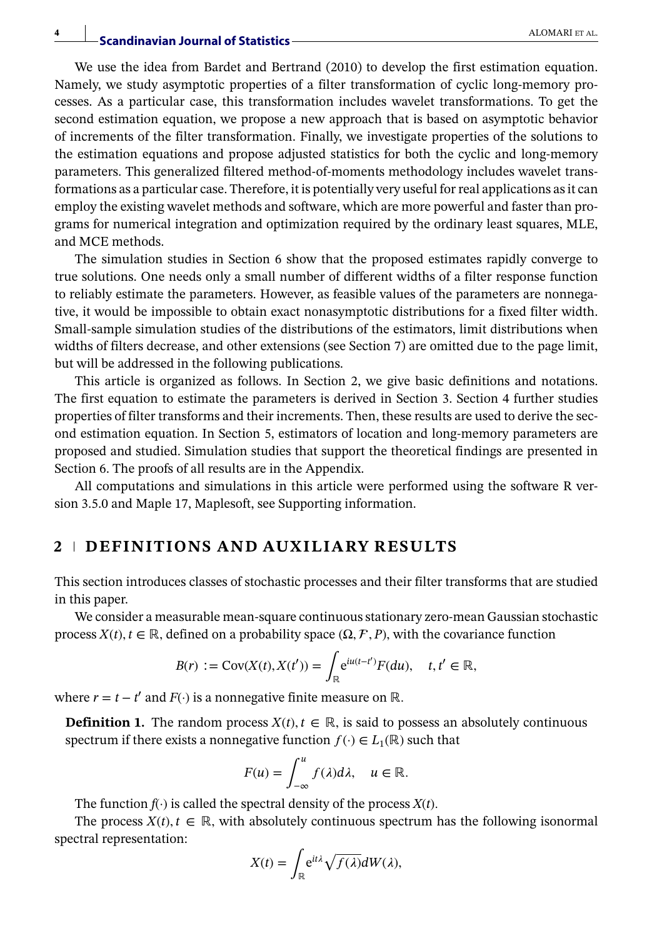We use the idea from Bardet and Bertrand (2010) to develop the first estimation equation. Namely, we study asymptotic properties of a filter transformation of cyclic long-memory processes. As a particular case, this transformation includes wavelet transformations. To get the second estimation equation, we propose a new approach that is based on asymptotic behavior of increments of the filter transformation. Finally, we investigate properties of the solutions to the estimation equations and propose adjusted statistics for both the cyclic and long-memory parameters. This generalized filtered method-of-moments methodology includes wavelet transformations as a particular case. Therefore, it is potentially very useful for real applications as it can employ the existing wavelet methods and software, which are more powerful and faster than programs for numerical integration and optimization required by the ordinary least squares, MLE, and MCE methods.

The simulation studies in Section 6 show that the proposed estimates rapidly converge to true solutions. One needs only a small number of different widths of a filter response function to reliably estimate the parameters. However, as feasible values of the parameters are nonnegative, it would be impossible to obtain exact nonasymptotic distributions for a fixed filter width. Small-sample simulation studies of the distributions of the estimators, limit distributions when widths of filters decrease, and other extensions (see Section 7) are omitted due to the page limit, but will be addressed in the following publications.

This article is organized as follows. In Section 2, we give basic definitions and notations. The first equation to estimate the parameters is derived in Section 3. Section 4 further studies properties of filter transforms and their increments. Then, these results are used to derive the second estimation equation. In Section 5, estimators of location and long-memory parameters are proposed and studied. Simulation studies that support the theoretical findings are presented in Section 6. The proofs of all results are in the Appendix.

All computations and simulations in this article were performed using the software R version 3.5.0 and Maple 17, Maplesoft, see Supporting information.

# **2 DEFINITIONS AND AUXILIARY RESULTS**

This section introduces classes of stochastic processes and their filter transforms that are studied in this paper.

We consider a measurable mean-square continuous stationary zero-mean Gaussian stochastic process  $X(t)$ ,  $t \in \mathbb{R}$ , defined on a probability space  $(\Omega, \mathcal{F}, P)$ , with the covariance function

$$
B(r) := \text{Cov}(X(t), X(t')) = \int_{\mathbb{R}} e^{iu(t-t')} F(du), \quad t, t' \in \mathbb{R},
$$

where  $r = t - t'$  and  $F(\cdot)$  is a nonnegative finite measure on ℝ.

**Definition 1.** The random process  $X(t)$ ,  $t \in \mathbb{R}$ , is said to possess an absolutely continuous spectrum if there exists a nonnegative function  $f(\cdot) \in L_1(\mathbb{R})$  such that

$$
F(u) = \int_{-\infty}^{u} f(\lambda) d\lambda, \quad u \in \mathbb{R}.
$$

The function  $f(\cdot)$  is called the spectral density of the process  $X(t)$ .

The process  $X(t)$ ,  $t \in \mathbb{R}$ , with absolutely continuous spectrum has the following isonormal spectral representation:

$$
X(t) = \int_{\mathbb{R}} e^{it\lambda} \sqrt{f(\lambda)} dW(\lambda),
$$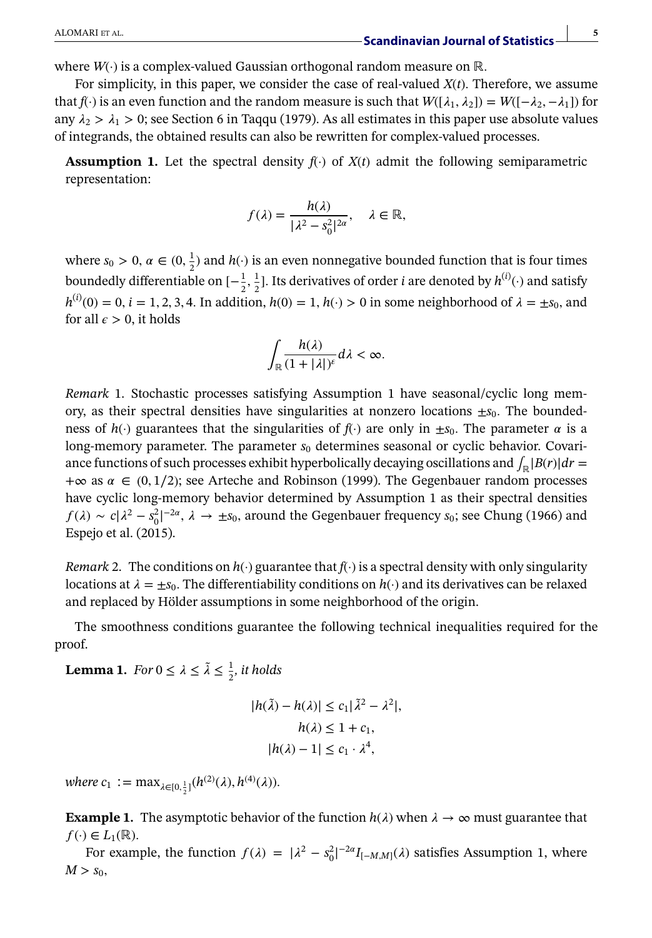where *W*(·) is a complex-valued Gaussian orthogonal random measure on ℝ*.*

For simplicity, in this paper, we consider the case of real-valued *X*(*t*)*.* Therefore, we assume that *f*(·) is an even function and the random measure is such that  $W([\lambda_1, \lambda_2]) = W([-\lambda_2, -\lambda_1])$  for any  $\lambda_2 > \lambda_1 > 0$ ; see Section 6 in Taqqu (1979). As all estimates in this paper use absolute values of integrands, the obtained results can also be rewritten for complex-valued processes.

**Assumption 1.** Let the spectral density  $f(\cdot)$  of  $X(t)$  admit the following semiparametric representation:

$$
f(\lambda) = \frac{h(\lambda)}{|\lambda^2 - s_0^2|^{2\alpha}}, \quad \lambda \in \mathbb{R},
$$

where  $s_0 > 0$ ,  $\alpha \in (0, \frac{1}{2})$  and  $h(\cdot)$  is an even nonnegative bounded function that is four times boundedly differentiable on  $[-\frac{1}{2}, \frac{1}{2}]$ . Its derivatives of order *i* are denoted by  $h^{(i)}(\cdot)$  and satisfy  $h^{(i)}(0) = 0$ ,  $i = 1, 2, 3, 4$ . In addition,  $h(0) = 1$ ,  $h(\cdot) > 0$  in some neighborhood of  $\lambda = \pm s_0$ , and for all  $\epsilon > 0$ , it holds

$$
\int_{\mathbb{R}} \frac{h(\lambda)}{(1+|\lambda|)^{\varepsilon}} d\lambda < \infty.
$$

*Remark* 1. Stochastic processes satisfying Assumption 1 have seasonal/cyclic long memory, as their spectral densities have singularities at nonzero locations  $\pm s_0$ . The boundedness of  $h(\cdot)$  guarantees that the singularities of  $f(\cdot)$  are only in  $\pm s_0$ . The parameter  $\alpha$  is a long-memory parameter. The parameter  $s<sub>0</sub>$  determines seasonal or cyclic behavior. Covariance functions of such processes exhibit hyperbolically decaying oscillations and  $\int_{\mathbb{R}} |B(r)| dr =$ +∞ as  $\alpha \in (0, 1/2)$ ; see Arteche and Robinson (1999). The Gegenbauer random processes have cyclic long-memory behavior determined by Assumption 1 as their spectral densities  $f(\lambda) \sim c|\lambda^2 - s_0^2|^{-2\alpha}, \lambda \to \pm s_0$ , around the Gegenbauer frequency  $s_0$ ; see Chung (1966) and Espejo et al. (2015).

*Remark* 2. The conditions on  $h(\cdot)$  guarantee that  $f(\cdot)$  is a spectral density with only singularity locations at  $\lambda = \pm s_0$ . The differentiability conditions on  $h(\cdot)$  and its derivatives can be relaxed and replaced by Hölder assumptions in some neighborhood of the origin.

The smoothness conditions guarantee the following technical inequalities required for the proof.

**Lemma 1.** *For*  $0 \le \lambda \le \tilde{\lambda} \le \frac{1}{2}$ *, it holds* 

$$
|h(\tilde{\lambda}) - h(\lambda)| \le c_1 |\tilde{\lambda}^2 - \lambda^2|,
$$
  

$$
h(\lambda) \le 1 + c_1,
$$
  

$$
|h(\lambda) - 1| \le c_1 \cdot \lambda^4,
$$

 $where c_1 := \max_{\lambda \in [0, \frac{1}{2}]} (h^{(2)}(\lambda), h^{(4)}(\lambda)).$ 

**Example 1.** The asymptotic behavior of the function  $h(\lambda)$  when  $\lambda \to \infty$  must guarantee that  $f(\cdot) \in L_1(\mathbb{R})$ .

For example, the function  $f(\lambda) = |\lambda^2 - s_0^2|^{-2\alpha} I_{[-M,M]}(\lambda)$  satisfies Assumption 1, where  $M > S_0$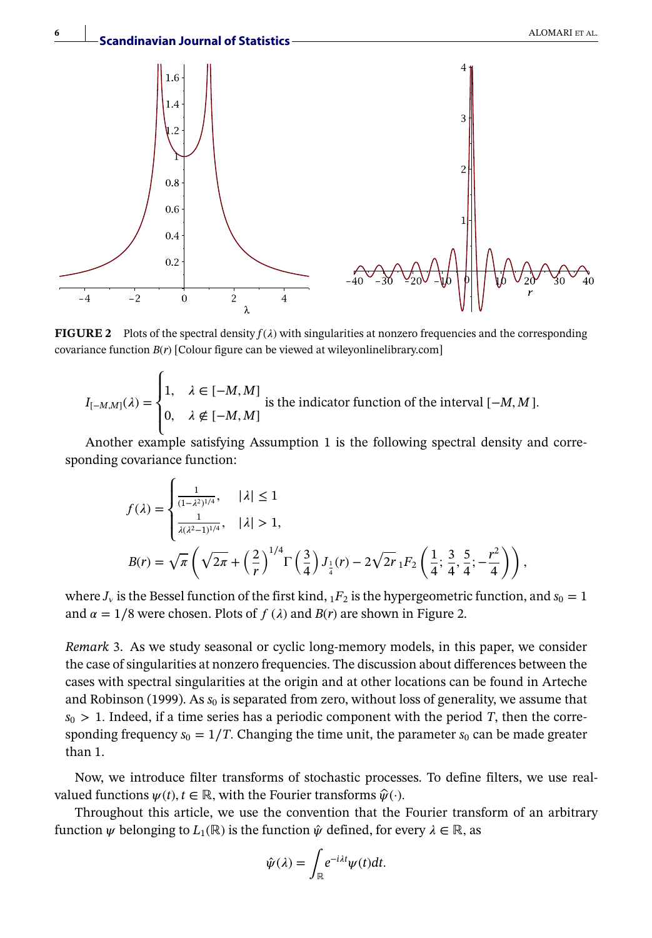

**FIGURE 2** Plots of the spectral density  $f(\lambda)$  with singularities at nonzero frequencies and the corresponding covariance function *B*(*r*) [Colour figure can be viewed at [wileyonlinelibrary.com\]](http://wileyonlinelibrary.com)

$$
I_{[-M,M]}(\lambda) = \begin{cases} 1, & \lambda \in [-M,M] \\ 0, & \lambda \notin [-M,M] \end{cases}
$$
 is the indicator function of the interval  $[-M, M]$ .

Another example satisfying Assumption 1 is the following spectral density and corresponding covariance function:

$$
f(\lambda) = \begin{cases} \frac{1}{(1-\lambda^2)^{1/4}}, & |\lambda| \le 1\\ \frac{1}{\lambda(\lambda^2-1)^{1/4}}, & |\lambda| > 1, \end{cases}
$$
  

$$
B(r) = \sqrt{\pi} \left( \sqrt{2\pi} + \left(\frac{2}{r}\right)^{1/4} \Gamma\left(\frac{3}{4}\right) J_{\frac{1}{4}}(r) - 2\sqrt{2r} {}_1F_2\left(\frac{1}{4}; \frac{3}{4}, \frac{5}{4}; -\frac{r^2}{4}\right) \right),
$$

where  $J_v$  is the Bessel function of the first kind,  $1F_2$  is the hypergeometric function, and  $s_0 = 1$ and  $\alpha = 1/8$  were chosen. Plots of  $f(\lambda)$  and  $B(r)$  are shown in Figure 2.

*Remark* 3. As we study seasonal or cyclic long-memory models, in this paper, we consider the case of singularities at nonzero frequencies. The discussion about differences between the cases with spectral singularities at the origin and at other locations can be found in Arteche and Robinson (1999). As  $s_0$  is separated from zero, without loss of generality, we assume that  $s_0 > 1$ . Indeed, if a time series has a periodic component with the period *T*, then the corresponding frequency  $s_0 = 1/T$ . Changing the time unit, the parameter  $s_0$  can be made greater than 1.

Now, we introduce filter transforms of stochastic processes. To define filters, we use realvalued functions  $\psi(t)$ ,  $t \in \mathbb{R}$ , with the Fourier transforms  $\hat{\psi}(\cdot)$ .

Throughout this article, we use the convention that the Fourier transform of an arbitrary function  $\psi$  belonging to  $L_1(\mathbb{R})$  is the function  $\hat{\psi}$  defined, for every  $\lambda \in \mathbb{R}$ , as

$$
\hat{\psi}(\lambda) = \int_{\mathbb{R}} e^{-i\lambda t} \psi(t) dt.
$$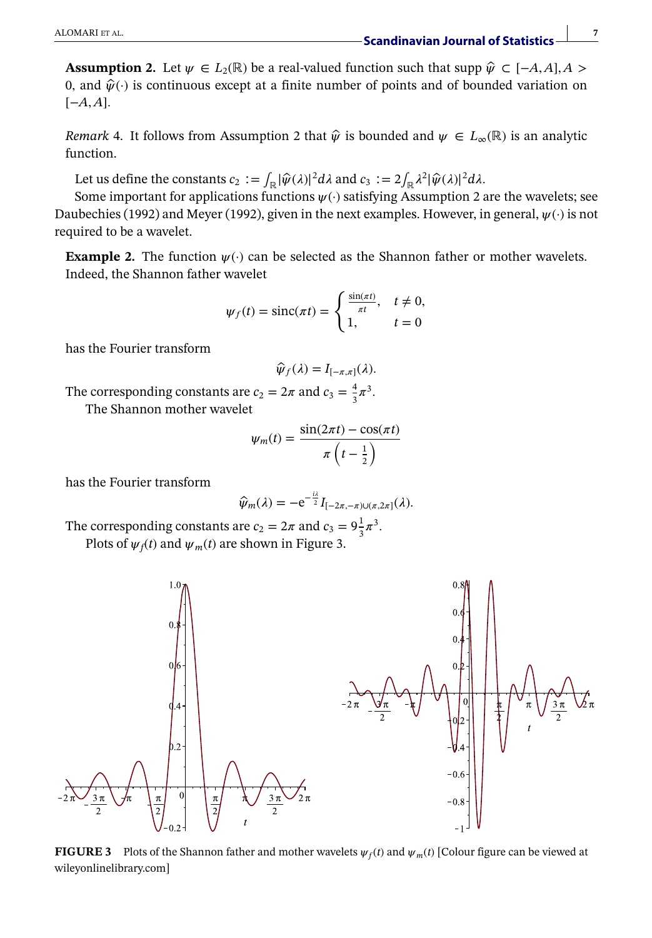**Assumption 2.** Let  $\psi \in L_2(\mathbb{R})$  be a real-valued function such that supp  $\hat{\psi} \subset [-A, A], A >$ 0, and  $\hat{\psi}(\cdot)$  is continuous except at a finite number of points and of bounded variation on [−*A,A*]*.*

*Remark* 4. It follows from Assumption 2 that  $\hat{\psi}$  is bounded and  $\psi \in L_{\infty}(\mathbb{R})$  is an analytic function.

Let us define the constants  $c_2 := \int_{\mathbb{R}} |\hat{\psi}(\lambda)|^2 d\lambda$  and  $c_3 := 2 \int_{\mathbb{R}} \lambda^2 |\hat{\psi}(\lambda)|^2 d\lambda$ .

Some important for applications functions  $\psi(\cdot)$  satisfying Assumption 2 are the wavelets; see Daubechies (1992) and Meyer (1992), given in the next examples. However, in general,  $\psi(\cdot)$  is not required to be a wavelet.

**Example 2.** The function  $\psi(\cdot)$  can be selected as the Shannon father or mother wavelets. Indeed, the Shannon father wavelet

$$
\psi_f(t) = \text{sinc}(\pi t) = \begin{cases} \frac{\sin(\pi t)}{\pi t}, & t \neq 0, \\ 1, & t = 0 \end{cases}
$$

has the Fourier transform

$$
\widehat{\psi}_f(\lambda) = I_{[-\pi,\pi]}(\lambda).
$$

The corresponding constants are  $c_2 = 2\pi$  and  $c_3 = \frac{4}{3}\pi^3$ . The Shannon mother wavelet

$$
\psi_m(t) = \frac{\sin(2\pi t) - \cos(\pi t)}{\pi \left(t - \frac{1}{2}\right)}
$$

has the Fourier transform

$$
\widehat{\psi}_m(\lambda) = -e^{-\frac{i\lambda}{2}} I_{[-2\pi, -\pi) \cup (\pi, 2\pi]}(\lambda).
$$

The corresponding constants are  $c_2 = 2\pi$  and  $c_3 = 9\frac{1}{3}\pi^3$ . Plots of  $\psi_f(t)$  and  $\psi_m(t)$  are shown in Figure 3.



**FIGURE 3** Plots of the Shannon father and mother wavelets  $\psi_f(t)$  and  $\psi_m(t)$  [Colour figure can be viewed at [wileyonlinelibrary.com\]](http://wileyonlinelibrary.com)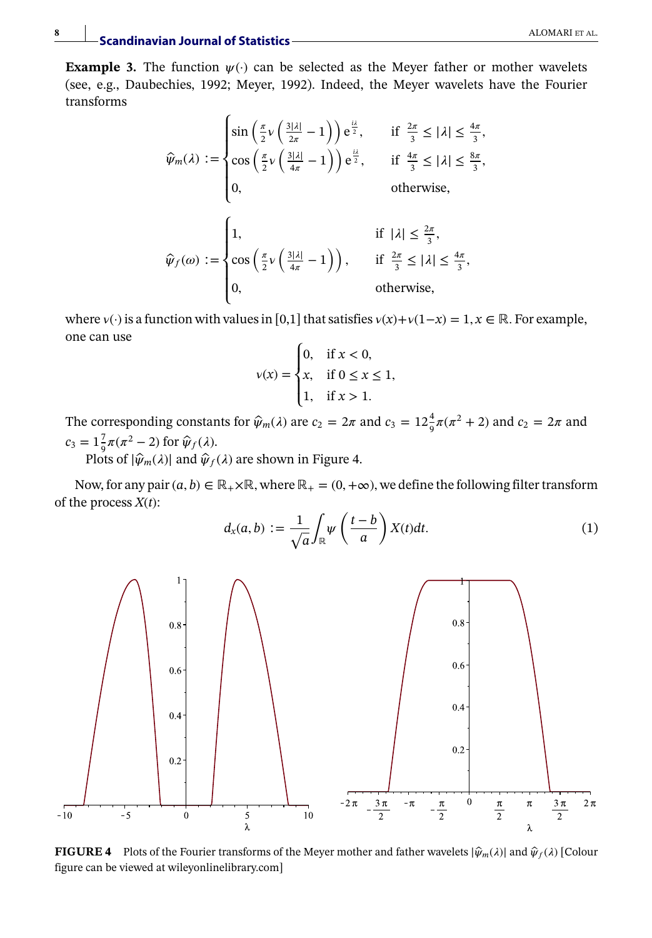**Example 3.** The function  $\psi(\cdot)$  can be selected as the Meyer father or mother wavelets (see, e.g., Daubechies, 1992; Meyer, 1992). Indeed, the Meyer wavelets have the Fourier transforms

$$
\hat{\psi}_m(\lambda) := \begin{cases}\n\sin\left(\frac{\pi}{2}v\left(\frac{3|\lambda|}{2\pi} - 1\right)\right) e^{\frac{i\lambda}{2}}, & \text{if } \frac{2\pi}{3} \leq |\lambda| \leq \frac{4\pi}{3}, \\
\cos\left(\frac{\pi}{2}v\left(\frac{3|\lambda|}{4\pi} - 1\right)\right) e^{\frac{i\lambda}{2}}, & \text{if } \frac{4\pi}{3} \leq |\lambda| \leq \frac{8\pi}{3}, \\
0, & \text{otherwise},\n\end{cases}
$$
\n
$$
\hat{\psi}_f(\omega) := \begin{cases}\n1, & \text{if } |\lambda| \leq \frac{2\pi}{3}, \\
\cos\left(\frac{\pi}{2}v\left(\frac{3|\lambda|}{4\pi} - 1\right)\right), & \text{if } \frac{2\pi}{3} \leq |\lambda| \leq \frac{4\pi}{3}, \\
0, & \text{otherwise},\n\end{cases}
$$

where  $v(\cdot)$  is a function with values in [0,1] that satisfies  $v(x)+v(1-x) = 1, x \in \mathbb{R}$ . For example, one can use

$$
v(x) = \begin{cases} 0, & \text{if } x < 0, \\ x, & \text{if } 0 \le x \le 1, \\ 1, & \text{if } x > 1. \end{cases}
$$

The corresponding constants for  $\hat{\psi}_m(\lambda)$  are  $c_2 = 2\pi$  and  $c_3 = 12\frac{4}{9}\pi(\pi^2 + 2)$  and  $c_2 = 2\pi$  and  $c_3 = 1\frac{7}{9}\pi(\pi^2 - 2)$  for  $\hat{\psi}_f(\lambda)$ .

Plots of  $|\hat{\psi}_m(\lambda)|$  and  $\hat{\psi}_f(\lambda)$  are shown in Figure 4.

Now, for any pair  $(a, b) \in \mathbb{R}_+ \times \mathbb{R}$ , where  $\mathbb{R}_+ = (0, +\infty)$ , we define the following filter transform of the process *X*(*t*):  $\mathbb{R}^2$  $\mathbf{r}$ 

$$
d_x(a,b) := \frac{1}{\sqrt{a}} \int_{\mathbb{R}} \psi\left(\frac{t-b}{a}\right) X(t) dt.
$$
 (1)



**FIGURE 4** Plots of the Fourier transforms of the Meyer mother and father wavelets  $|\hat{\psi}_m(\lambda)|$  and  $\hat{\psi}_f(\lambda)$  [Colour figure can be viewed at [wileyonlinelibrary.com\]](http://wileyonlinelibrary.com)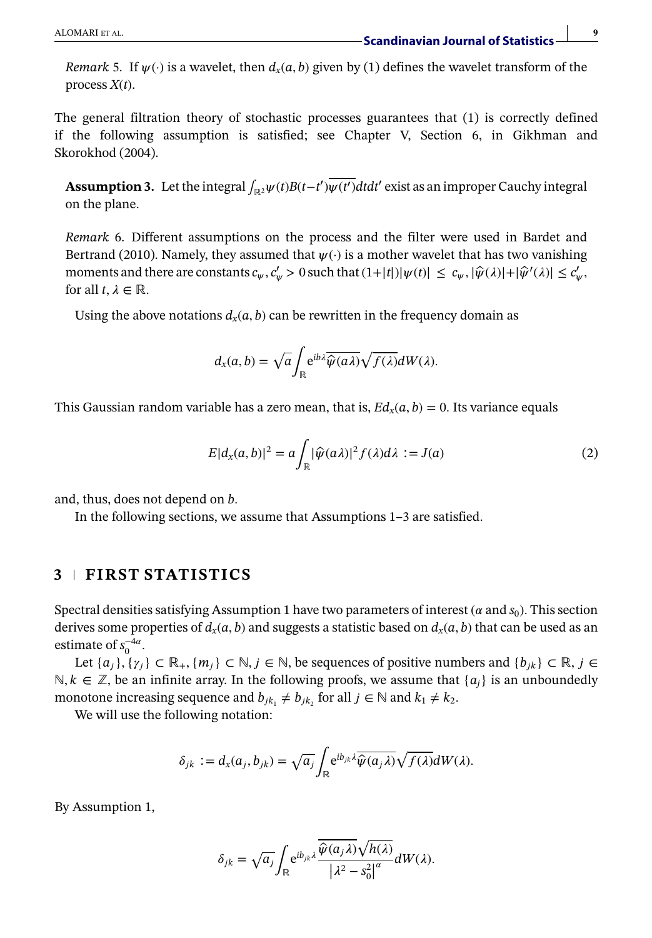*Remark* 5. If  $\psi(\cdot)$  is a wavelet, then  $d_x(a, b)$  given by (1) defines the wavelet transform of the process *X*(*t*).

The general filtration theory of stochastic processes guarantees that (1) is correctly defined if the following assumption is satisfied; see Chapter V, Section 6, in Gikhman and Skorokhod (2004).

**Assumption 3.** Let the integral  $\int_{\mathbb{R}^2} \psi(t)B(t-t') \overline{\psi(t')} dt dt'$  exist as an improper Cauchy integral on the plane.

*Remark* 6. Different assumptions on the process and the filter were used in Bardet and Bertrand (2010). Namely, they assumed that  $\psi(\cdot)$  is a mother wavelet that has two vanishing moments and there are constants  $c_{\psi}$ ,  $c'_{\psi} > 0$  such that  $(1+|t|)|\psi(t)| \leq c_{\psi}$ ,  $|\hat{\psi}(\lambda)| + |\hat{\psi}'(\lambda)| \leq c'_{\psi}$ , for all  $t, \lambda \in \mathbb{R}$ .

Using the above notations  $d_x(a, b)$  can be rewritten in the frequency domain as

$$
d_{x}(a,b)=\sqrt{a}\int_{\mathbb{R}}e^{ib\lambda}\overline{\widehat{\psi}(a\lambda)}\sqrt{f(\lambda)}dW(\lambda).
$$

This Gaussian random variable has a zero mean, that is,  $Ed_r(a, b) = 0$ . Its variance equals

$$
E|d_{x}(a,b)|^{2} = a \int_{\mathbb{R}} |\widehat{\psi}(a\lambda)|^{2} f(\lambda) d\lambda := J(a)
$$
 (2)

and, thus, does not depend on *b.*

In the following sections, we assume that Assumptions 1–3 are satisfied.

# **3 FIRST STATISTICS**

Spectral densities satisfying Assumption 1 have two parameters of interest ( $\alpha$  and  $s_0$ ). This section derives some properties of  $d_x(a, b)$  and suggests a statistic based on  $d_x(a, b)$  that can be used as an estimate of  $s_0^{-4\alpha}$ .

Let  $\{a_i\}, \{\gamma_i\} \subset \mathbb{R}_+$ ,  $\{m_i\} \subset \mathbb{N}, j \in \mathbb{N}$ , be sequences of positive numbers and  $\{b_{ik}\} \subset \mathbb{R}, j \in \mathbb{N}$  $\mathbb{N}, k \in \mathbb{Z}$ , be an infinite array. In the following proofs, we assume that { $a_i$ } is an unboundedly monotone increasing sequence and  $b_{jk_1} \neq b_{jk_2}$  for all  $j \in \mathbb{N}$  and  $k_1 \neq k_2$ .

We will use the following notation:

$$
\delta_{jk} := d_x(a_j, b_{jk}) = \sqrt{a_j} \int_{\mathbb{R}} e^{ib_{jk}\lambda} \overline{\widehat{\psi}(a_j\lambda)} \sqrt{f(\lambda)} dW(\lambda).
$$

By Assumption 1,

$$
\delta_{jk} = \sqrt{a_j} \int_{\mathbb{R}} e^{ib_{jk}\lambda} \frac{\overline{\hat{\psi}(a_j\lambda)}\sqrt{h(\lambda)}}{\left|\lambda^2 - s_0^2\right|^a} dW(\lambda).
$$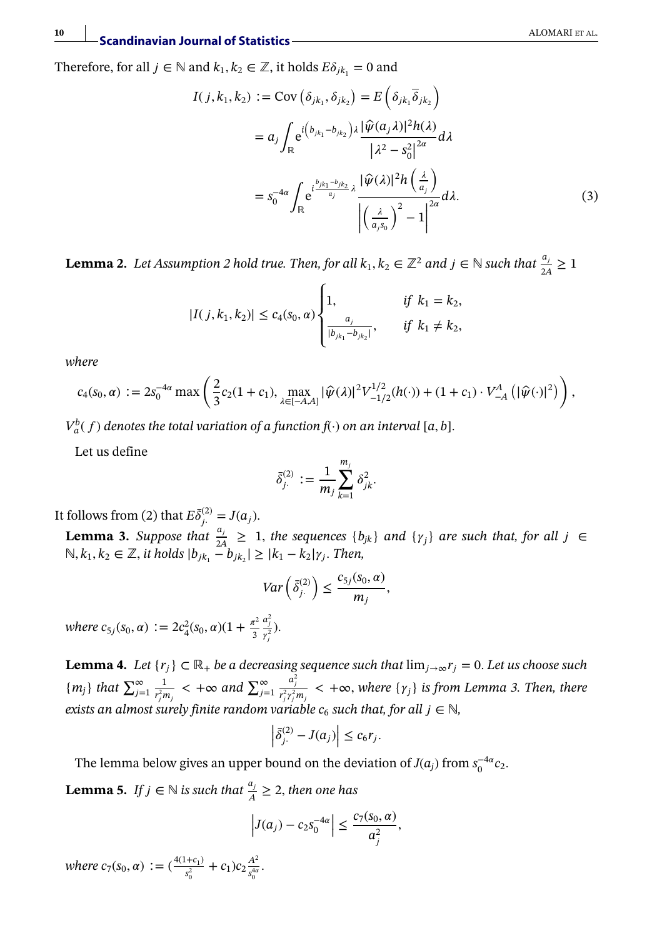Therefore, for all  $j \in \mathbb{N}$  and  $k_1, k_2 \in \mathbb{Z}$ , it holds  $E\delta_{jk_1} = 0$  and

$$
I(j, k_1, k_2) := \text{Cov} \left( \delta_{jk_1}, \delta_{jk_2} \right) = E \left( \delta_{jk_1} \overline{\delta}_{jk_2} \right)
$$
  

$$
= a_j \int_{\mathbb{R}} e^{i \left( b_{jk_1} - b_{jk_2} \right) \lambda} \frac{|\widehat{\psi}(a_j \lambda)|^2 h(\lambda)}{|\lambda^2 - s_0^2|^{2\alpha}} d\lambda
$$
  

$$
= s_0^{-4\alpha} \int_{\mathbb{R}} e^{i \frac{b_{jk_1} - b_{jk_2}}{a_j} \lambda} \frac{|\widehat{\psi}(\lambda)|^2 h\left(\frac{\lambda}{a_j}\right)}{\left| \left( \frac{\lambda}{a_j s_0} \right)^2 - 1 \right|^{2\alpha}} d\lambda.
$$
 (3)

**Lemma 2.** *Let Assumption 2 hold true. Then, for all*  $k_1, k_2 \in \mathbb{Z}^2$  and  $j \in \mathbb{N}$  such that  $\frac{a_j}{2A} \ge 1$ 

$$
|I(j, k_1, k_2)| \le c_4(s_0, \alpha) \begin{cases} 1, & \text{if } k_1 = k_2, \\ \frac{a_j}{|b_{j k_1} - b_{j k_2}|}, & \text{if } k_1 \neq k_2, \end{cases}
$$

*where*

$$
c_4(s_0, \alpha) := 2s_0^{-4\alpha} \max \left( \frac{2}{3} c_2 (1 + c_1), \max_{\lambda \in [-A,A]} |\widehat{\psi}(\lambda)|^2 V_{-1/2}^{1/2}(h(\cdot)) + (1 + c_1) \cdot V_{-A}^A(|\widehat{\psi}(\cdot)|^2) \right),
$$

 $V_a^b(f)$  denotes the total variation of a function  $f(\cdot)$  on an interval [a, b].

Let us define

$$
\bar{\delta}^{(2)}_{j\cdot} := \frac{1}{m_j} \sum_{k=1}^{m_j} \delta_{jk}^2.
$$

It follows from (2) that  $E\bar{\delta}^{(2)}_j = J(a_j)$ .

**Lemma 3.** *Suppose that*  $\frac{a_j}{2A} \geq 1$ , *the sequences*  $\{b_{jk}\}$  *and*  $\{\gamma_j\}$  *are such that, for all*  $j \in \mathbb{R}$  $\mathbb{N}, k_1, k_2 \in \mathbb{Z}$ , *it holds*  $|b_{jk_1} - b_{jk_2}| \geq |k_1 - k_2| \gamma_j$ . Then,

$$
Var\left(\bar{\delta}_{j\cdot}^{(2)}\right) \leq \frac{c_{5j}(s_0,\alpha)}{m_j},
$$

*where*  $c_{5j}(s_0, \alpha) := 2c_4^2(s_0, \alpha)(1 + \frac{\pi^2}{3})$  $\frac{a_j^2}{r_j^2}$ ).

**Lemma 4.** *Let* { $r_j$ } ⊂ ℝ<sub>+</sub> *be a decreasing sequence such that*  $\lim_{j\to\infty} r_j = 0$ *. Let us choose such* { $m_j$ } *that*  $\sum_{j=1}^{\infty} \frac{1}{r_i^2 m_j}$  < + $\infty$  and  $\sum_{j=1}^{\infty} \frac{a_j^2}{r_i^2 m_j}$  < + $\infty$ , where { $\gamma_j$ } *is f*  $\frac{1}{r_j^2 m_j}$  < +∞ *and*  $\sum_{j=1}^{\infty}$  $\frac{a_j^2}{r_j^2 r_j^2 m_j} < +\infty$ , where  $\{\gamma_j\}$  is from Lemma 3. Then, there *exists an almost surely finite random variable*  $c_6$  *such that, for all*  $j \in \mathbb{N}$ *,* 

$$
\left| \bar{\delta}^{(2)}_j - J(a_j) \right| \leq c_6 r_j.
$$

The lemma below gives an upper bound on the deviation of *J*( $a_j$ ) from  $s_0^{-4\alpha}c_2$ .

**Lemma 5.** *If*  $j \in \mathbb{N}$  *is such that*  $\frac{a_j}{A} \geq 2$ *, then one has* 

$$
\left|J(a_j)-c_2s_0^{-4\alpha}\right|\leq \frac{c_7(s_0,\alpha)}{a_j^2},
$$

 $where c_7(s_0, \alpha) := (\frac{4(1+c_1)}{s_0^2} + c_1)c_2 \frac{A^2}{s_0^{4\alpha}}$  $rac{A^2}{s_0^{4\alpha}}$ .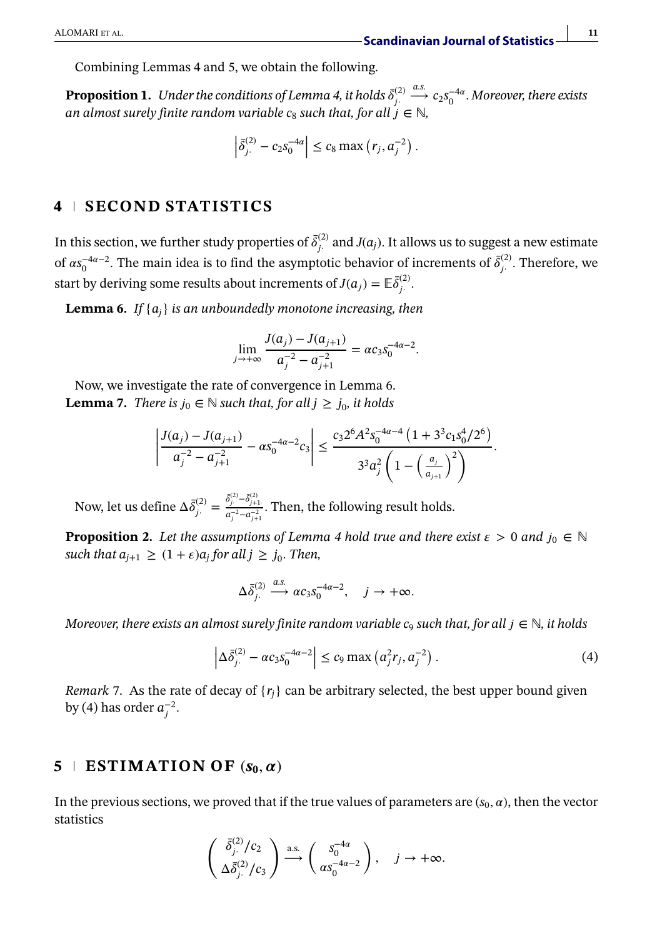Combining Lemmas 4 and 5, we obtain the following.

**Proposition 1.** Under the conditions of Lemma 4, it holds  $\bar{\delta}^{(2)}_j$ .  $\stackrel{a.s.}{\longrightarrow} c_2 s_0^{-4\alpha}$ . Moreover, there exists *an almost surely finite random variable c<sub>8</sub> such that, for all*  $i \in \mathbb{N}$ .

$$
\left| \bar{\delta}_{j}^{(2)} - c_2 s_0^{-4\alpha} \right| \le c_8 \max (r_j, a_j^{-2}).
$$

# **4 SECOND STATISTICS**

In this section, we further study properties of  $\bar{\delta}^{(2)}_{j}$  and  $J(a_j)$ . It allows us to suggest a new estimate of  $\alpha s_0^{-4\alpha-2}$ . The main idea is to find the asymptotic behavior of increments of  $\bar{\delta}^{(2)}_j$ . Therefore, we start by deriving some results about increments of  $J(a_j) = \mathbb{E} \bar{\delta}_j^{(2)}$ .

**Lemma 6.** *If* {*aj*} *is an unboundedly monotone increasing, then*

$$
\lim_{j \to +\infty} \frac{J(a_j) - J(a_{j+1})}{a_j^{-2} - a_{j+1}^{-2}} = \alpha c_3 s_0^{-4\alpha - 2}.
$$

Now, we investigate the rate of convergence in Lemma 6. **Lemma 7.** *There is*  $j_0 \in \mathbb{N}$  *such that, for all*  $j \geq j_0$ *, it holds* 

$$
\left|\frac{J(a_j)-J(a_{j+1})}{a_j^{-2}-a_{j+1}^{-2}}-\alpha s_0^{-4\alpha-2}c_3\right|\leq \frac{c_3 2^6 A^2 s_0^{-4\alpha-4} \left(1+3^3 c_1 s_0^4/2^6\right)}{3^3 a_j^2 \left(1-\left(\frac{a_j}{a_{j+1}}\right)^2\right)}.
$$

Now, let us define  $\Delta \bar{\delta}^{(2)}_{j} = \frac{\bar{\delta}^{(2)}_{j} - \bar{\delta}^{(2)}_{j+1}}{a_j^{-2} - a_{j+1}^{-2}}$ . Then, the following result holds.

**Proposition 2.** *Let the assumptions of Lemma 4 hold true and there exist*  $\epsilon > 0$  *and*  $j_0 \in \mathbb{N}$ *such that*  $a_{j+1} \geq (1+\epsilon)a_j$  *for all*  $j \geq j_0$ *. Then,* 

$$
\Delta \bar{\delta}_{j.}^{(2)} \xrightarrow{a.s.} \alpha c_3 s_0^{-4\alpha - 2}, \quad j \to +\infty.
$$

*Moreover, there exists an almost surely finite random variable*  $c_9$  *such that, for all*  $i \in \mathbb{N}$ *, it holds* 

$$
\left| \Delta \bar{\delta}_{j}^{(2)} - \alpha c_3 s_0^{-4\alpha - 2} \right| \le c_9 \max \left( a_j^2 r_j, a_j^{-2} \right). \tag{4}
$$

*Remark* 7. As the rate of decay of  $\{r_i\}$  can be arbitrary selected, the best upper bound given by (4) has order  $a_j^{-2}$ .

# $5 \perp$  **ESTIMATION OF**  $(s_0, \alpha)$

In the previous sections, we proved that if the true values of parameters are  $(s_0, \alpha)$ , then the vector statistics

$$
\begin{pmatrix}\n\bar{\delta}_{j}^{(2)}/c_2 \\
\Delta \bar{\delta}_{j}^{(2)}/c_3\n\end{pmatrix} \stackrel{\text{a.s.}}{\longrightarrow} \begin{pmatrix}\n s_0^{-4\alpha} \\
\alpha s_0^{-4\alpha-2}\n\end{pmatrix}, \quad j \to +\infty.
$$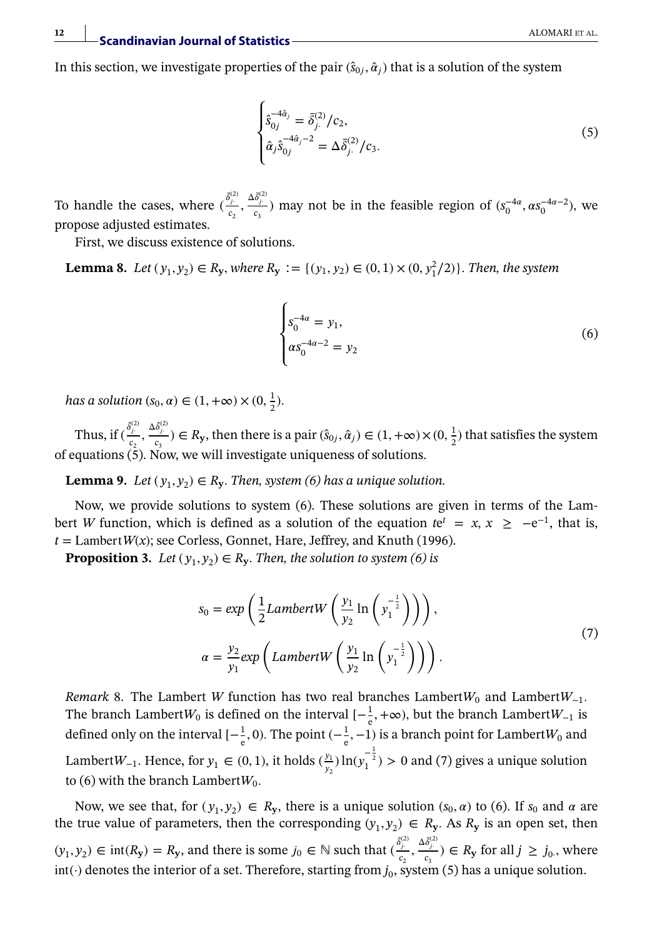**12**

In this section, we investigate properties of the pair  $(\hat{s}_{0i}, \hat{\alpha}_i)$  that is a solution of the system

$$
\begin{cases}\n\hat{\mathbf{s}}_{0j}^{-4\hat{\mathbf{a}}_j} = \bar{\delta}_{j.}^{(2)}/c_2, \\
\hat{\mathbf{a}}_j \hat{\mathbf{s}}_{0j}^{-4\hat{\mathbf{a}}_j - 2} = \Delta \bar{\delta}_{j.}^{(2)}/c_3.\n\end{cases}
$$
\n(5)

To handle the cases, where  $(\frac{\delta_j^{\left(2\right)}}{c_2}, \frac{\Delta \delta_j^{\left(2\right)}}{c_3})$  may not be in the feasible region of  $(s_0^{-4\alpha}, \alpha s_0^{-4\alpha-2})$ , we propose adjusted estimates.

First, we discuss existence of solutions.

**Lemma 8.** *Let*  $(y_1, y_2) \in R_y$ *, where*  $R_y := {(y_1, y_2) ∈ (0, 1) × (0, y_1^2/2)}.$  *Then, the system* 

$$
\begin{cases}\ns_0^{-4\alpha} = y_1, \\
\alpha s_0^{-4\alpha - 2} = y_2\n\end{cases}
$$
\n(6)

*has a solution*  $(s_0, \alpha) \in (1, +\infty) \times (0, \frac{1}{2})$ *.* 

Thus, if  $(\frac{\delta_j^2}{c_2}, \frac{\Delta \delta_j^{(2)}}{c_3}) \in R_y$ , then there is a pair  $(\hat{s}_{0j}, \hat{\alpha}_j) \in (1, +\infty) \times (0, \frac{1}{2})$  that satisfies the system of equations  $(5)$ . Now, we will investigate uniqueness of solutions.

**Lemma 9.** *Let*  $(y_1, y_2) \in R_y$ *. Then, system (6) has a unique solution.* 

Now, we provide solutions to system (6). These solutions are given in terms of the Lambert *W* function, which is defined as a solution of the equation  $te^{t} = x, x \ge -e^{-1}$ , that is,  $t =$  Lambert *W*(*x*); see Corless, Gonnet, Hare, Jeffrey, and Knuth (1996).

**Proposition 3.** *Let*  $(y_1, y_2) \in R_y$ *. Then, the solution to system (6) is* 

$$
s_0 = exp\left(\frac{1}{2}LambertW\left(\frac{y_1}{y_2}\ln\left(y_1^{-\frac{1}{2}}\right)\right)\right),
$$
  
\n
$$
\alpha = \frac{y_2}{y_1}exp\left(LambertW\left(\frac{y_1}{y_2}\ln\left(y_1^{-\frac{1}{2}}\right)\right)\right).
$$
\n(7)

*Remark* 8. The Lambert *W* function has two real branches Lambert $W_0$  and Lambert $W_{-1}$ . The branch Lambert $W_0$  is defined on the interval  $[-\frac{1}{e},+\infty)$ , but the branch Lambert $W_{-1}$  is defined only on the interval  $[-\frac{1}{e}, 0)$ . The point  $(-\frac{1}{e}, -1)$  is a branch point for Lambert $W_0$  and Lambert $W_{-1}$ . Hence, for  $y_1 \in (0, 1)$ , it holds  $(\frac{y_1}{y_1})$  $\frac{y_1}{y_2}$ )  $\ln(y_1^{-\frac{1}{2}}) > 0$  and (7) gives a unique solution to (6) with the branch Lambert $W_0$ .

Now, we see that, for  $(y_1, y_2) \in R_y$ , there is a unique solution  $(s_0, \alpha)$  to (6). If  $s_0$  and  $\alpha$  are the true value of parameters, then the corresponding  $(y_1, y_2) \in R_v$ . As  $R_v$  is an open set, then  $(y_1, y_2) \in \text{int}(R_y) = R_y$ , and there is some  $j_0 \in \mathbb{N}$  such that  $(\frac{\delta_j^{(2)}}{c_2}, \frac{\Delta \delta_j^{(2)}}{c_3}) \in R_y$  for all  $j \ge j_0$ , where  $\text{int}(\cdot)$  denotes the interior of a set. Therefore, starting from  $j_0$ , system (5) has a unique solution.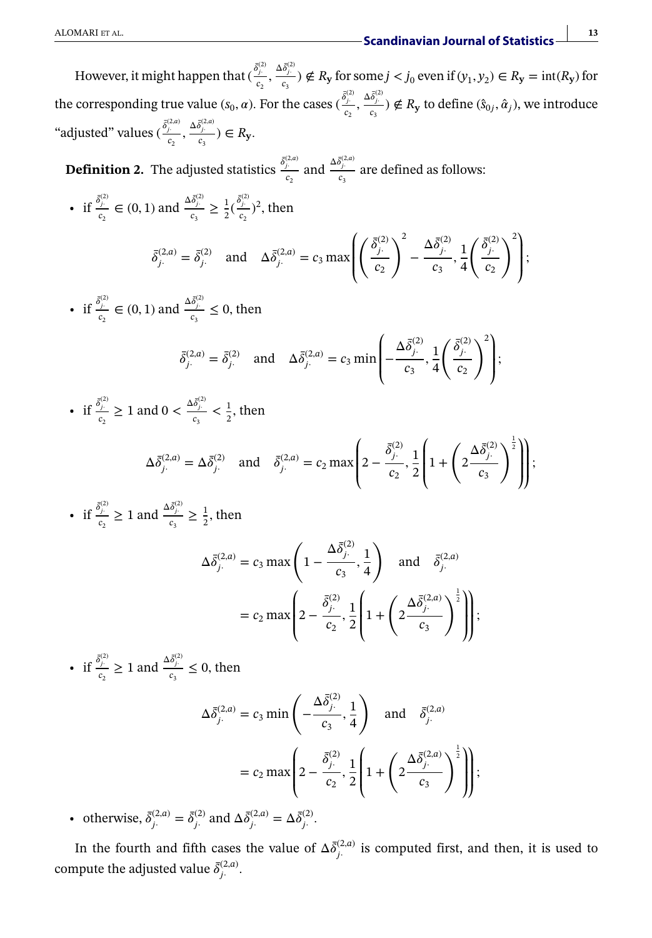However, it might happen that  $(\frac{\delta_j^{(2)}}{c_2}, \frac{\Delta \delta_j^{(2)}}{c_3}) \notin R_{\mathbf{y}}$  for some  $j < j_0$  even if  $(y_1, y_2) \in R_{\mathbf{y}} = \text{int}(R_{\mathbf{y}})$  for the corresponding true value  $(s_0, \alpha)$ . For the cases  $(\frac{\delta_j^{(2)}}{c_2}, \frac{\Delta \delta_j^{(2)}}{c_3}) \notin R_y$  to define  $(\hat{s}_{0j}, \hat{\alpha}_j)$ , we introduce "adjusted" values  $(\frac{\bar{\delta}_{j}^{(2,a)}}{c_2}, \frac{\Delta \bar{\delta}_{j}^{(2,a)}}{c_3}) \in R_y$ .

**Definition 2.** The adjusted statistics  $\frac{\bar{\delta}^{(2,a)}_j}{c_2}$  and  $\frac{\Delta \bar{\delta}^{(2,a)}_j}{c_3}$  are defined as follows:

- if  $\frac{\bar{\delta}_j^{(2)}}{c_2} \in (0, 1)$  and  $\frac{\Delta \bar{\delta}_j^{(2)}}{c_3} \ge \frac{1}{2} (\frac{\bar{\delta}_j^{(2)}}{c_2})^2$ , then  $\bar{\delta}^{(2,a)}_{j} = \bar{\delta}^{(2)}_{j}$  and  $\Delta \bar{\delta}^{(2,a)}_{j} = c_3 \max$ ⎛ ⎜ ⎜ ⎝  $\int$   $\bar{\delta}^{(2)}_j$ *c*2  $\sum_{i=1}^{2} \frac{\Delta \bar{\delta}_{j}^{(2)}}{n}$  $\frac{a_{j_1}}{c_3}, \frac{1}{4}$ 4  $\int$   $\bar{\delta}^{(2)}_j$ *c*2  $\langle$ <sup>2</sup>)  $\overline{\phantom{a}}$ ⎟ ⎠ ;
- if  $\frac{\bar{\delta}_{j}^{(2)}}{c_2} \in (0, 1)$  and  $\frac{\Delta \bar{\delta}_{j}^{(2)}}{c_3} \le 0$ , then

$$
\bar{\delta}_{j.}^{(2,a)} = \bar{\delta}_{j.}^{(2)} \quad \text{and} \quad \Delta \bar{\delta}_{j.}^{(2,a)} = c_3 \min \left( -\frac{\Delta \bar{\delta}_{j.}^{(2)}}{c_3}, \frac{1}{4} \left( \frac{\bar{\delta}_{j.}^{(2)}}{c_2} \right)^2 \right);
$$

• if  $\frac{\bar{\delta}_{j}^{(2)}}{c_2} \ge 1$  and  $0 < \frac{\Delta \bar{\delta}_{j}^{(2)}}{c_3} < \frac{1}{2}$ , then

$$
\Delta \bar{\delta}_{j.}^{(2,a)} = \Delta \bar{\delta}_{j.}^{(2)} \text{ and } \bar{\delta}_{j.}^{(2,a)} = c_2 \max \left( 2 - \frac{\bar{\delta}_{j.}^{(2)}}{c_2}, \frac{1}{2} \left( 1 + \left( 2 \frac{\Delta \bar{\delta}_{j.}^{(2)}}{c_3} \right)^{\frac{1}{2}} \right) \right);
$$

• if  $\frac{\bar{\delta}^{(2)}_j}{c_2} \ge 1$  and  $\frac{\Delta \bar{\delta}^{(2)}_j}{c_3} \ge \frac{1}{2}$ , then

$$
\Delta \bar{\delta}_{j}^{(2,a)} = c_3 \max \left( 1 - \frac{\Delta \bar{\delta}_{j}^{(2)}}{c_3}, \frac{1}{4} \right) \text{ and } \bar{\delta}_{j}^{(2,a)} = c_2 \max \left( 2 - \frac{\bar{\delta}_{j}^{(2)}}{c_2}, \frac{1}{2} \left( 1 + \left( 2 \frac{\Delta \bar{\delta}_{j}^{(2,a)}}{c_3} \right)^{\frac{1}{2}} \right) \right);
$$

• if  $\frac{\delta_j^{(2)}}{c_2} \ge 1$  and  $\frac{\Delta \delta_j^{(2)}}{c_3} \le 0$ , then

$$
\Delta \bar{\delta}_{j.}^{(2,a)} = c_3 \min \left( -\frac{\Delta \bar{\delta}_{j.}^{(2)}}{c_3}, \frac{1}{4} \right) \text{ and } \bar{\delta}_{j.}^{(2,a)} \n= c_2 \max \left\{ 2 - \frac{\bar{\delta}_{j.}^{(2)}}{c_2}, \frac{1}{2} \left( 1 + \left( 2 \frac{\Delta \bar{\delta}_{j.}^{(2,a)}}{c_3} \right)^{\frac{1}{2}} \right) \right\};
$$

• otherwise,  $\bar{\delta}^{(2,a)}_j = \bar{\delta}^{(2)}_j$  and  $\Delta \bar{\delta}^{(2,a)}_j = \Delta \bar{\delta}^{(2)}_j$ .

In the fourth and fifth cases the value of  $\Delta \bar{\delta}^{(2,a)}_{j}$  is computed first, and then, it is used to compute the adjusted value  $\bar{\delta}^{(2,a)}_{j}$ .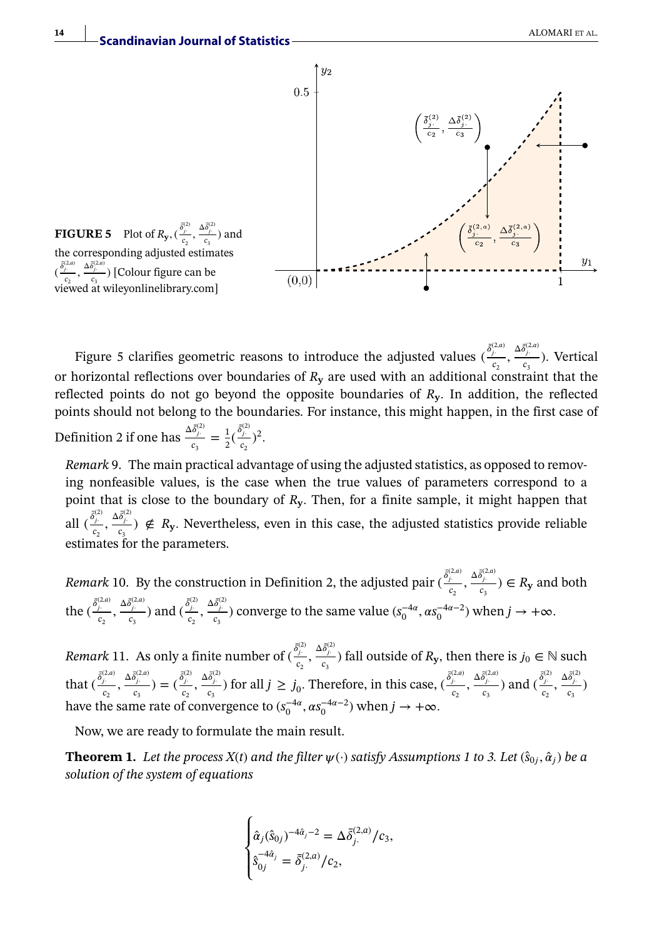

Figure 5 clarifies geometric reasons to introduce the adjusted values  $(\frac{\delta_j^{(2,a)}}{c_2}, \frac{\Delta \delta_j^{(2,a)}}{c_3})$ . Vertical or horizontal reflections over boundaries of *R***<sup>y</sup>** are used with an additional constraint that the reflected points do not go beyond the opposite boundaries of *R***y***.* In addition, the reflected points should not belong to the boundaries. For instance, this might happen, in the first case of Definition 2 if one has  $\frac{\Delta \bar{\delta}_{j}^{(2)}}{c_3} = \frac{1}{2} (\frac{\bar{\delta}_{j}^{(2)}}{c_2})^2$ .

*Remark* 9. The main practical advantage of using the adjusted statistics, as opposed to removing nonfeasible values, is the case when the true values of parameters correspond to a point that is close to the boundary of *R***y***.* Then, for a finite sample, it might happen that all  $(\frac{\delta_j^{(2)}}{c_2}, \frac{\Delta \delta_j^{(2)}}{c_3}) \notin R_y$ . Nevertheless, even in this case, the adjusted statistics provide reliable estimates for the parameters.

*Remark* 10. By the construction in Definition 2, the adjusted pair  $(\frac{\delta_j^{(2,a)}}{c_2}, \frac{\Delta \delta_j^{(2,a)}}{c_3}) \in R_y$  and both the  $(\frac{\bar{\delta}_{j}^{(2,a)}}{c_2}, \frac{\Delta \bar{\delta}_{j}^{(2,a)}}{c_3})$  and  $(\frac{\bar{\delta}_{j}^{(2)}}{c_2}, \frac{\Delta \bar{\delta}_{j}^{(2)}}{c_3})$  converge to the same value  $(s_0^{-4a}, \alpha s_0^{-4a-2})$  when  $j \to +\infty$ .

*Remark* 11. As only a finite number of  $(\frac{\bar{\delta}^{(2)}_j}{c_2}, \frac{\Delta \bar{\delta}^{(2)}_j}{c_3})$  fall outside of  $R_y$ , then there is  $j_0 \in \mathbb{N}$  such that  $(\frac{\bar{\delta}^{(2,a)}_j}{c_2}, \frac{\Delta \bar{\delta}^{(2,a)}_j}{c_3}) = (\frac{\bar{\delta}^{(2)}_j}{c_2}, \frac{\Delta \bar{\delta}^{(2)}_j}{c_3})$  for all  $j \ge j_0$ . Therefore, in this case,  $(\frac{\bar{\delta}^{(2,a)}_j}{c_2}, \frac{\Delta \bar{\delta}^{(2,a)}_j}{c_3})$  and  $(\frac{\bar{\delta}^{(2)}_j}{c_2}, \frac{\Delta \bar{\delta}^{(2,a)}_j}{c_3})$ have the same rate of convergence to  $(s_0^{-4\alpha}, \alpha s_0^{-4\alpha-2})$  when  $j \to +\infty$ .

Now, we are ready to formulate the main result.

**Theorem 1.** Let the process  $X(t)$  and the filter  $\psi(\cdot)$  satisfy Assumptions 1 to 3. Let  $(\hat{s}_0, \hat{\alpha}_i)$  be a *solution of the system of equations*

$$
\begin{cases}\n\hat{\alpha}_j(\hat{s}_{0j})^{-4\hat{\alpha}_j-2} = \Delta \bar{\delta}_j^{(2,a)}/c_3, \\
\hat{s}_{0j}^{-4\hat{\alpha}_j} = \bar{\delta}_j^{(2,a)}/c_2,\n\end{cases}
$$

**14**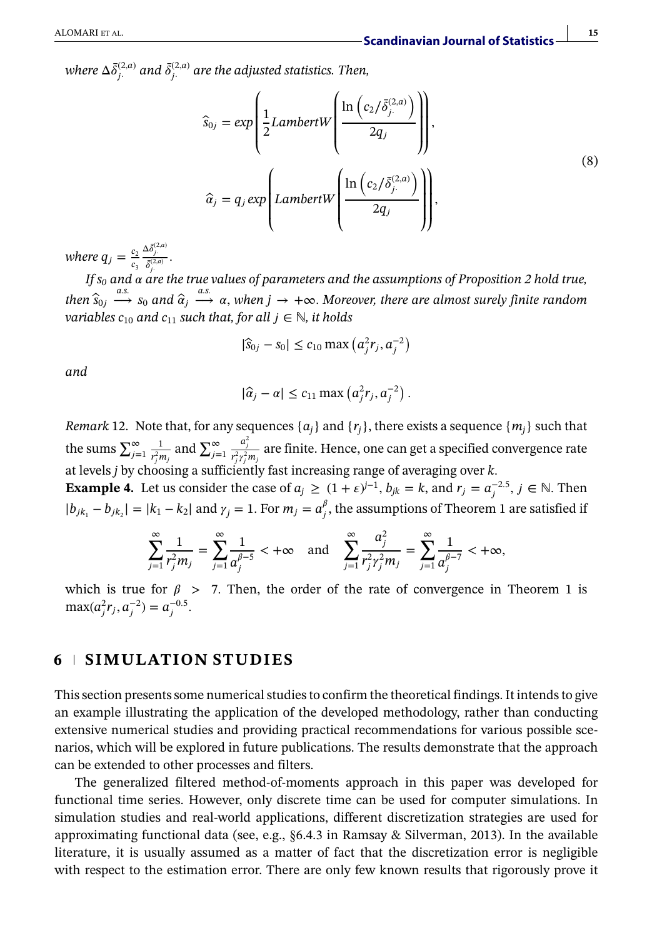where  $\Delta \bar{\delta}^{(2,a)}_{j.}$  and  $\bar{\delta}^{(2,a)}_{j.}$  are the adjusted statistics. Then,

$$
\widehat{s}_{0j} = exp\left(\frac{1}{2}LambertW\left(\frac{\ln\left(c_2/\overline{\delta}_{j.}^{(2,a)}\right)}{2q_j}\right)\right),\newline \widehat{\alpha}_j = q_j exp\left(LambertW\left(\frac{\ln\left(c_2/\overline{\delta}_{j.}^{(2,a)}\right)}{2q_j}\right)\right),\newline
$$
\n(8)

*where*  $q_j = \frac{c_2}{c_3}$  $\frac{\Delta \bar{\delta}^{(2,a)}_j}{\bar{\delta}^{(2,a)}_{j}}$ .

· *If s0 and are the true values of parameters and the assumptions of Proposition 2 hold true,*  $\hat{s}_{0j} \stackrel{a.s.}{\longrightarrow} s_0$  and  $\hat{\alpha}_j \stackrel{a.s.}{\longrightarrow} \alpha$ , when  $j \to +\infty$ . Moreover, there are almost surely finite random *variables*  $c_{10}$  *and*  $c_{11}$  *such that, for all*  $j \in \mathbb{N}$ *, it holds* 

$$
|\hat{s}_{0j} - s_0| \le c_{10} \max\left(a_j^2 r_j, a_j^{-2}\right)
$$

*and*

$$
|\hat{a}_j - \alpha| \le c_{11} \max\left(a_j^2 r_j, a_j^{-2}\right).
$$

*Remark* 12. Note that, for any sequences  $\{a_i\}$  and  $\{r_i\}$ , there exists a sequence  $\{m_i\}$  such that the sums  $\sum_{j=1}^{\infty} \frac{1}{r^2 n}$  $\frac{1}{r_j^2 m_j}$  and  $\sum_{j=1}^{\infty}$  $\frac{a_j^2}{r_j^2 r_j^2 m_j}$  are finite. Hence, one can get a specified convergence rate at levels *j* by choosing a sufficiently fast increasing range of averaging over *k.*

**Example 4.** Let us consider the case of  $a_j \geq (1 + \varepsilon)^{j-1}$ ,  $b_{jk} = k$ , and  $r_j = a_j^{-2.5}$ ,  $j \in \mathbb{N}$ . Then  $|b_{jk_1} - b_{jk_2}| = |k_1 - k_2|$  and  $\gamma_j = 1$ . For  $m_j = a_j^{\beta}$ , the assumptions of Theorem 1 are satisfied if

$$
\sum_{j=1}^{\infty} \frac{1}{r_j^2 m_j} = \sum_{j=1}^{\infty} \frac{1}{a_j^{\beta-5}} < +\infty \quad \text{and} \quad \sum_{j=1}^{\infty} \frac{a_j^2}{r_j^2 r_j^2 m_j} = \sum_{j=1}^{\infty} \frac{1}{a_j^{\beta-7}} < +\infty,
$$

which is true for  $\beta$  > 7. Then, the order of the rate of convergence in Theorem 1 is  $max(a_j^2 r_j, a_j^{-2}) = a_j^{-0.5}$ .

### **6 SIMULATION STUDIES**

This section presents some numerical studies to confirm the theoretical findings. It intends to give an example illustrating the application of the developed methodology, rather than conducting extensive numerical studies and providing practical recommendations for various possible scenarios, which will be explored in future publications. The results demonstrate that the approach can be extended to other processes and filters.

The generalized filtered method-of-moments approach in this paper was developed for functional time series. However, only discrete time can be used for computer simulations. In simulation studies and real-world applications, different discretization strategies are used for approximating functional data (see, e.g.,  $\S6.4.3$  in Ramsay & Silverman, 2013). In the available literature, it is usually assumed as a matter of fact that the discretization error is negligible with respect to the estimation error. There are only few known results that rigorously prove it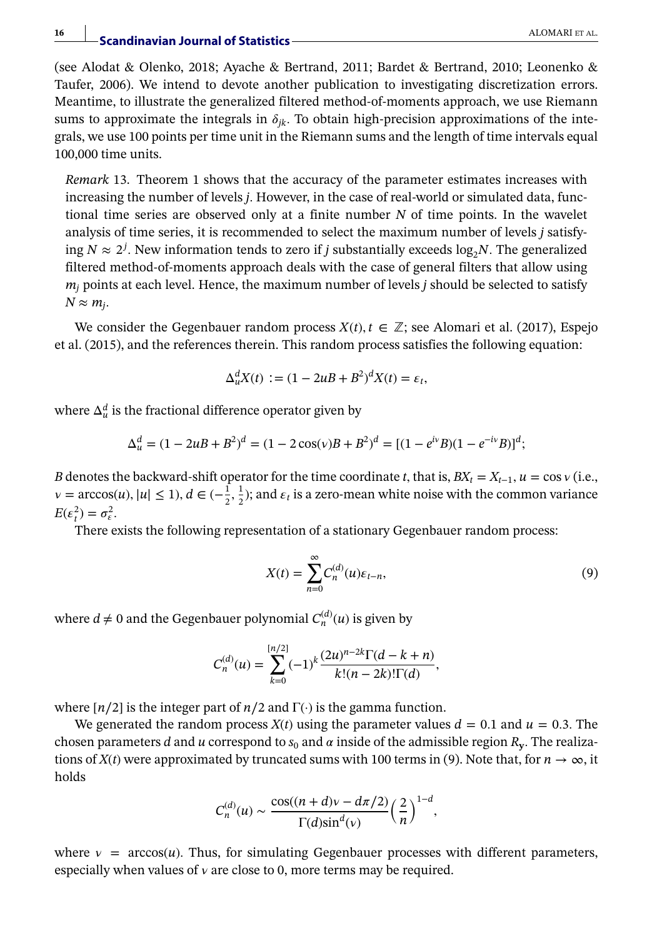(see Alodat & Olenko, 2018; Ayache & Bertrand, 2011; Bardet & Bertrand, 2010; Leonenko & Taufer, 2006). We intend to devote another publication to investigating discretization errors. Meantime, to illustrate the generalized filtered method-of-moments approach, we use Riemann sums to approximate the integrals in  $\delta_{ik}$ . To obtain high-precision approximations of the integrals, we use 100 points per time unit in the Riemann sums and the length of time intervals equal 100,000 time units.

*Remark* 13. Theorem 1 shows that the accuracy of the parameter estimates increases with increasing the number of levels *j.* However, in the case of real-world or simulated data, functional time series are observed only at a finite number *N* of time points. In the wavelet analysis of time series, it is recommended to select the maximum number of levels *j* satisfying  $N \approx 2^j$ . New information tends to zero if *j* substantially exceeds  $\log_2 N$ . The generalized filtered method-of-moments approach deals with the case of general filters that allow using *mj* points at each level. Hence, the maximum number of levels *j* should be selected to satisfy  $N \approx m_i$ .

We consider the Gegenbauer random process  $X(t)$ ,  $t \in \mathbb{Z}$ ; see Alomari et al. (2017), Espejo et al. (2015), and the references therein. This random process satisfies the following equation:

$$
\Delta_u^d X(t) := (1 - 2uB + B^2)^d X(t) = \varepsilon_t,
$$

where  $\Delta_u^d$  is the fractional difference operator given by

$$
\Delta_u^d = (1 - 2uB + B^2)^d = (1 - 2\cos(v)B + B^2)^d = [(1 - e^{iv}B)(1 - e^{-iv}B)]^d;
$$

*B* denotes the backward-shift operator for the time coordinate *t*, that is,  $BX_t = X_{t-1}$ ,  $u = \cos v$  (i.e.,  $v = \arccos(u), |u| \le 1$ ,  $d \in (-\frac{1}{2}, \frac{1}{2})$ ; and  $\varepsilon_t$  is a zero-mean white noise with the common variance  $E(\varepsilon_t^2) = \sigma_{\varepsilon}^2$ .

There exists the following representation of a stationary Gegenbauer random process:

$$
X(t) = \sum_{n=0}^{\infty} C_n^{(d)}(u)\varepsilon_{t-n},\tag{9}
$$

where  $d \neq 0$  and the Gegenbauer polynomial  $C_n^{(d)}(u)$  is given by

$$
C_n^{(d)}(u) = \sum_{k=0}^{\lfloor n/2 \rfloor} (-1)^k \frac{(2u)^{n-2k} \Gamma(d-k+n)}{k!(n-2k)!\Gamma(d)},
$$

where [*n*∕2] is the integer part of *n*∕2 and Γ(·) is the gamma function.

We generated the random process  $X(t)$  using the parameter values  $d = 0.1$  and  $u = 0.3$ . The chosen parameters *d* and *u* correspond to  $s_0$  and  $\alpha$  inside of the admissible region  $R_v$ . The realizations of *X*(*t*) were approximated by truncated sums with 100 terms in (9). Note that, for  $n \to \infty$ , it holds

$$
C_n^{(d)}(u) \sim \frac{\cos((n+d)v - d\pi/2)}{\Gamma(d)\sin^d(v)} \left(\frac{2}{n}\right)^{1-d},
$$

where  $v = \arccos(u)$ . Thus, for simulating Gegenbauer processes with different parameters, especially when values of  $v$  are close to 0, more terms may be required.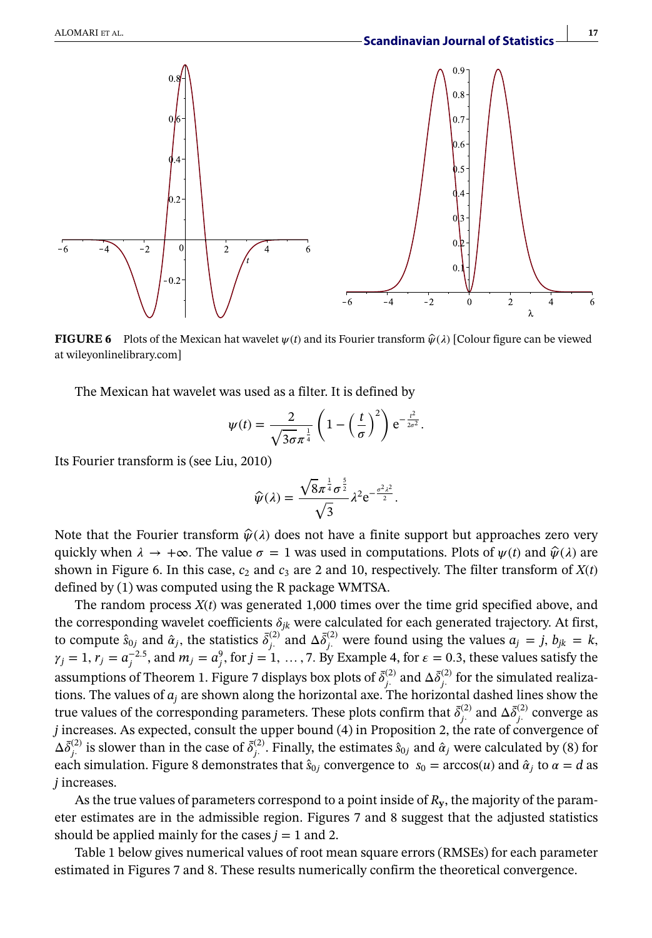

**FIGURE 6** Plots of the Mexican hat wavelet  $\psi(t)$  and its Fourier transform  $\hat{\psi}(\lambda)$  [Colour figure can be viewed at [wileyonlinelibrary.com\]](http://wileyonlinelibrary.com)

The Mexican hat wavelet was used as a filter. It is defined by

$$
\psi(t) = \frac{2}{\sqrt{3\sigma}\pi^{\frac{1}{4}}} \left(1 - \left(\frac{t}{\sigma}\right)^2\right) e^{-\frac{t^2}{2\sigma^2}}.
$$

Its Fourier transform is (see Liu, 2010)

$$
\widehat{\psi}(\lambda) = \frac{\sqrt{8\pi^{\frac{1}{4}}\sigma^{\frac{5}{2}}}}{\sqrt{3}}\lambda^{2}e^{-\frac{\sigma^{2}\lambda^{2}}{2}}.
$$

Note that the Fourier transform  $\hat{\psi}(\lambda)$  does not have a finite support but approaches zero very quickly when  $\lambda \to +\infty$ . The value  $\sigma = 1$  was used in computations. Plots of  $\psi(t)$  and  $\hat{\psi}(\lambda)$  are shown in Figure 6. In this case,  $c_2$  and  $c_3$  are 2 and 10, respectively. The filter transform of  $X(t)$ defined by (1) was computed using the R package WMTSA.

The random process *X*(*t*) was generated 1,000 times over the time grid specified above, and the corresponding wavelet coefficients  $\delta_{ik}$  were calculated for each generated trajectory. At first, to compute  $\hat{s}_{0j}$  and  $\hat{\alpha}_j$ , the statistics  $\bar{\delta}^{(2)}_j$  and  $\Delta \bar{\delta}^{(2)}_j$  were found using the values  $a_j = j$ ,  $b_{jk} = k$ ,  $\gamma_j = 1$ ,  $r_j = a_j^{-2.5}$ , and  $m_j = a_j^9$ , for  $j = 1, ..., 7$ . By Example 4, for  $\varepsilon = 0.3$ , these values satisfy the assumptions of Theorem 1. Figure 7 displays box plots of  $\bar{\delta}^{(2)}_j$  and  $\Delta \bar{\delta}^{(2)}_j$  for the simulated realizations. The values of  $a_j$  are shown along the horizontal axe. The horizontal dashed lines show the true values of the corresponding parameters. These plots confirm that  $\bar{\delta}^{(2)}_j$  and  $\Delta\bar{\delta}^{(2)}_j$  converge as *j* increases. As expected, consult the upper bound (4) in Proposition 2, the rate of convergence of  $\Delta \bar{\delta}^{(2)}_j$  is slower than in the case of  $\bar{\delta}^{(2)}_j$ . Finally, the estimates  $\hat{s}_{0j}$  and  $\hat{\alpha}_j$  were calculated by (8) for each simulation. Figure 8 demonstrates that  $\hat{s}_{0j}$  convergence to  $s_0 = \arccos(u)$  and  $\hat{\alpha}_j$  to  $\alpha = d$  as *j* increases.

As the true values of parameters correspond to a point inside of *R***y**, the majority of the parameter estimates are in the admissible region. Figures 7 and 8 suggest that the adjusted statistics should be applied mainly for the cases  $j = 1$  and 2.

Table 1 below gives numerical values of root mean square errors (RMSEs) for each parameter estimated in Figures 7 and 8. These results numerically confirm the theoretical convergence.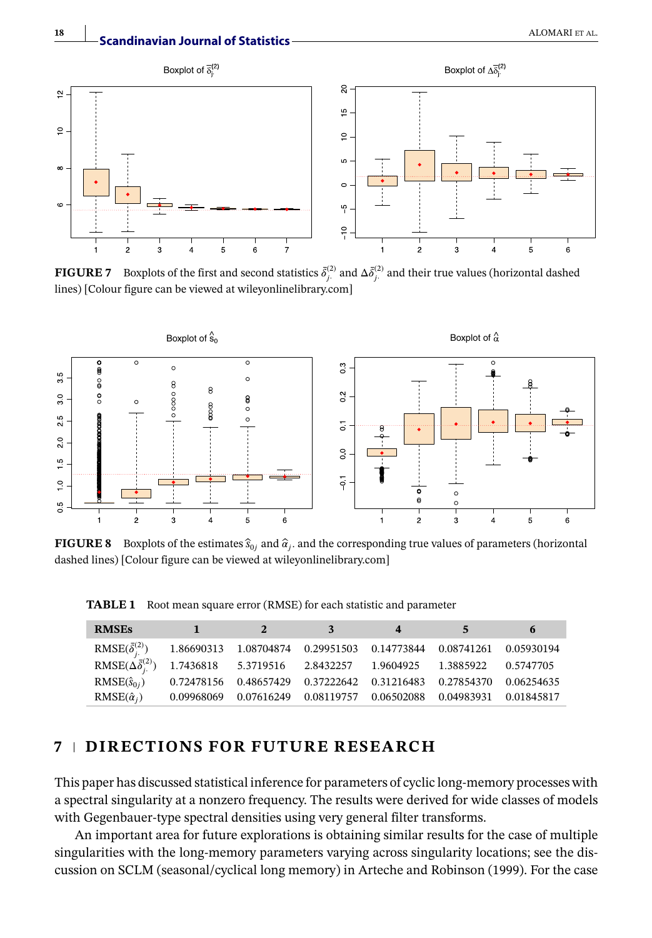

**FIGURE 7** Boxplots of the first and second statistics  $\bar{\delta}^{(2)}_{j}$  and  $\Delta \bar{\delta}^{(2)}_{j}$  and their true values (horizontal dashed lines) [Colour figure can be viewed at [wileyonlinelibrary.com\]](http://wileyonlinelibrary.com)



**FIGURE 8** Boxplots of the estimates  $\hat{s}_{0j}$  and  $\hat{\alpha}_i$ , and the corresponding true values of parameters (horizontal dashed lines) [Colour figure can be viewed at [wileyonlinelibrary.com\]](http://wileyonlinelibrary.com)

| <b>RMSEs</b>                                                                                       | $1 \t 2 \t 3$ |  | $\overline{\mathbf{4}}$ | $5^{\circ}$ | 6 |
|----------------------------------------------------------------------------------------------------|---------------|--|-------------------------|-------------|---|
| $RMSE(\bar{\delta}^{(2)}_{i.})$ 1.86690313 1.08704874 0.29951503 0.14773844 0.08741261 0.05930194  |               |  |                         |             |   |
| $RMSE(\Delta \bar{\delta}^{(2)}_{i.})$ 1.7436818 5.3719516 2.8432257 1.9604925 1.3885922 0.5747705 |               |  |                         |             |   |
| RMSE $(\hat{s}_{0i})$ 0.72478156 0.48657429 0.37222642 0.31216483 0.27854370 0.06254635            |               |  |                         |             |   |
| $RMSE(\hat{\alpha}_i)$ 0.09968069 0.07616249 0.08119757 0.06502088 0.04983931 0.01845817           |               |  |                         |             |   |

**TABLE 1** Root mean square error (RMSE) for each statistic and parameter

# **7 DIRECTIONS FOR FUTURE RESEARCH**

This paper has discussed statistical inference for parameters of cyclic long-memory processes with a spectral singularity at a nonzero frequency. The results were derived for wide classes of models with Gegenbauer-type spectral densities using very general filter transforms.

An important area for future explorations is obtaining similar results for the case of multiple singularities with the long-memory parameters varying across singularity locations; see the discussion on SCLM (seasonal/cyclical long memory) in Arteche and Robinson (1999). For the case

**Scandinavian Journal of Statistics**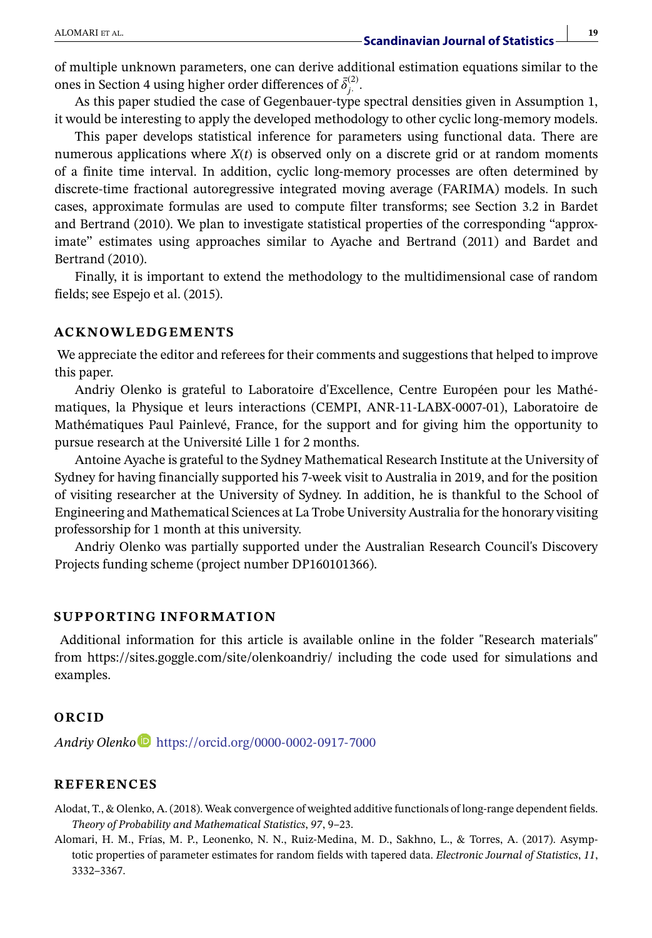of multiple unknown parameters, one can derive additional estimation equations similar to the ones in Section 4 using higher order differences of  $\bar{\delta}^{(2)}_j$ .

As this paper studied the case of Gegenbauer-type spectral densities given in Assumption 1, it would be interesting to apply the developed methodology to other cyclic long-memory models.

This paper develops statistical inference for parameters using functional data. There are numerous applications where *X*(*t*) is observed only on a discrete grid or at random moments of a finite time interval. In addition, cyclic long-memory processes are often determined by discrete-time fractional autoregressive integrated moving average (FARIMA) models. In such cases, approximate formulas are used to compute filter transforms; see Section 3.2 in Bardet and Bertrand (2010). We plan to investigate statistical properties of the corresponding "approximate" estimates using approaches similar to Ayache and Bertrand (2011) and Bardet and Bertrand (2010).

Finally, it is important to extend the methodology to the multidimensional case of random fields; see Espejo et al. (2015).

#### **ACKNOWLEDGEMENTS**

We appreciate the editor and referees for their comments and suggestions that helped to improve this paper.

Andriy Olenko is grateful to Laboratoire d'Excellence, Centre Européen pour les Mathématiques, la Physique et leurs interactions (CEMPI, ANR-11-LABX-0007-01), Laboratoire de Mathématiques Paul Painlevé, France, for the support and for giving him the opportunity to pursue research at the Université Lille 1 for 2 months.

Antoine Ayache is grateful to the Sydney Mathematical Research Institute at the University of Sydney for having financially supported his 7-week visit to Australia in 2019, and for the position of visiting researcher at the University of Sydney. In addition, he is thankful to the School of Engineering and Mathematical Sciences at La Trobe University Australia for the honorary visiting professorship for 1 month at this university.

Andriy Olenko was partially supported under the Australian Research Council's Discovery Projects funding scheme (project number DP160101366).

#### **SUPPORTING INFORMATION**

Additional information for this article is available online in the folder "Research materials" from<https://sites.goggle.com/site/olenkoandriy/> including the code used for simulations and examples.

#### **ORCID**

*Andriy Olenk[o](https://orcid.org/0000-0002-0917-7000)* <https://orcid.org/0000-0002-0917-7000>

#### **REFERENCES**

Alodat, T., & Olenko, A. (2018). Weak convergence of weighted additive functionals of long-range dependent fields. *Theory of Probability and Mathematical Statistics*, *97*, 9–23.

Alomari, H. M., Frías, M. P., Leonenko, N. N., Ruiz-Medina, M. D., Sakhno, L., & Torres, A. (2017). Asymptotic properties of parameter estimates for random fields with tapered data. *Electronic Journal of Statistics*, *11*, 3332–3367.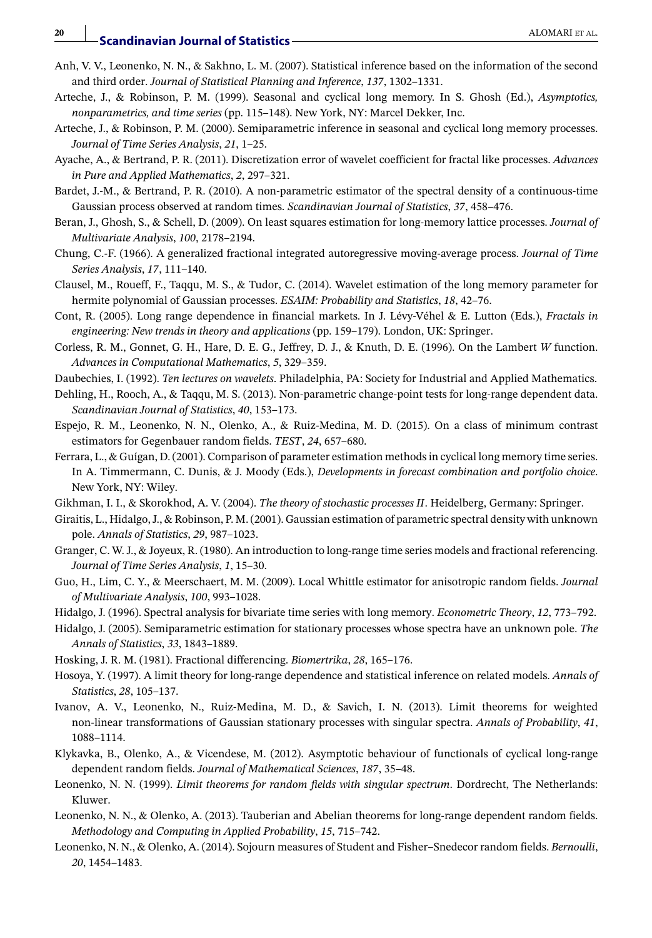- Anh, V. V., Leonenko, N. N., & Sakhno, L. M. (2007). Statistical inference based on the information of the second and third order. *Journal of Statistical Planning and Inference*, *137*, 1302–1331.
- Arteche, J., & Robinson, P. M. (1999). Seasonal and cyclical long memory. In S. Ghosh (Ed.), *Asymptotics, nonparametrics, and time series* (pp. 115–148). New York, NY: Marcel Dekker, Inc.
- Arteche, J., & Robinson, P. M. (2000). Semiparametric inference in seasonal and cyclical long memory processes. *Journal of Time Series Analysis*, *21*, 1–25.
- Ayache, A., & Bertrand, P. R. (2011). Discretization error of wavelet coefficient for fractal like processes. *Advances in Pure and Applied Mathematics*, *2*, 297–321.
- Bardet, J.-M., & Bertrand, P. R. (2010). A non-parametric estimator of the spectral density of a continuous-time Gaussian process observed at random times. *Scandinavian Journal of Statistics*, *37*, 458–476.
- Beran, J., Ghosh, S., & Schell, D. (2009). On least squares estimation for long-memory lattice processes. *Journal of Multivariate Analysis*, *100*, 2178–2194.
- Chung, C.-F. (1966). A generalized fractional integrated autoregressive moving-average process. *Journal of Time Series Analysis*, *17*, 111–140.
- Clausel, M., Roueff, F., Taqqu, M. S., & Tudor, C. (2014). Wavelet estimation of the long memory parameter for hermite polynomial of Gaussian processes. *ESAIM: Probability and Statistics*, *18*, 42–76.
- Cont, R. (2005). Long range dependence in financial markets. In J. Lévy-Véhel & E. Lutton (Eds.), *Fractals in engineering: New trends in theory and applications* (pp. 159–179). London, UK: Springer.
- Corless, R. M., Gonnet, G. H., Hare, D. E. G., Jeffrey, D. J., & Knuth, D. E. (1996). On the Lambert *W* function. *Advances in Computational Mathematics*, *5*, 329–359.
- Daubechies, I. (1992). *Ten lectures on wavelets*. Philadelphia, PA: Society for Industrial and Applied Mathematics.
- Dehling, H., Rooch, A., & Taqqu, M. S. (2013). Non-parametric change-point tests for long-range dependent data. *Scandinavian Journal of Statistics*, *40*, 153–173.
- Espejo, R. M., Leonenko, N. N., Olenko, A., & Ruiz-Medina, M. D. (2015). On a class of minimum contrast estimators for Gegenbauer random fields. *TEST*, *24*, 657–680.
- Ferrara, L., & Guígan, D. (2001). Comparison of parameter estimation methods in cyclical long memory time series. In A. Timmermann, C. Dunis, & J. Moody (Eds.), *Developments in forecast combination and portfolio choice*. New York, NY: Wiley.
- Gikhman, I. I., & Skorokhod, A. V. (2004). *The theory of stochastic processes II*. Heidelberg, Germany: Springer.
- Giraitis, L., Hidalgo, J., & Robinson, P. M. (2001). Gaussian estimation of parametric spectral density with unknown pole. *Annals of Statistics*, *29*, 987–1023.
- Granger, C. W. J., & Joyeux, R. (1980). An introduction to long-range time series models and fractional referencing. *Journal of Time Series Analysis*, *1*, 15–30.
- Guo, H., Lim, C. Y., & Meerschaert, M. M. (2009). Local Whittle estimator for anisotropic random fields. *Journal of Multivariate Analysis*, *100*, 993–1028.
- Hidalgo, J. (1996). Spectral analysis for bivariate time series with long memory. *Econometric Theory*, *12*, 773–792.
- Hidalgo, J. (2005). Semiparametric estimation for stationary processes whose spectra have an unknown pole. *The Annals of Statistics*, *33*, 1843–1889.
- Hosking, J. R. M. (1981). Fractional differencing. *Biomertrika*, *28*, 165–176.
- Hosoya, Y. (1997). A limit theory for long-range dependence and statistical inference on related models. *Annals of Statistics*, *28*, 105–137.
- Ivanov, A. V., Leonenko, N., Ruiz-Medina, M. D., & Savich, I. N. (2013). Limit theorems for weighted non-linear transformations of Gaussian stationary processes with singular spectra. *Annals of Probability*, *41*, 1088–1114.
- Klykavka, B., Olenko, A., & Vicendese, M. (2012). Asymptotic behaviour of functionals of cyclical long-range dependent random fields. *Journal of Mathematical Sciences*, *187*, 35–48.
- Leonenko, N. N. (1999). *Limit theorems for random fields with singular spectrum*. Dordrecht, The Netherlands: Kluwer.
- Leonenko, N. N., & Olenko, A. (2013). Tauberian and Abelian theorems for long-range dependent random fields. *Methodology and Computing in Applied Probability*, *15*, 715–742.
- Leonenko, N. N., & Olenko, A. (2014). Sojourn measures of Student and Fisher–Snedecor random fields. *Bernoulli*, *20*, 1454–1483.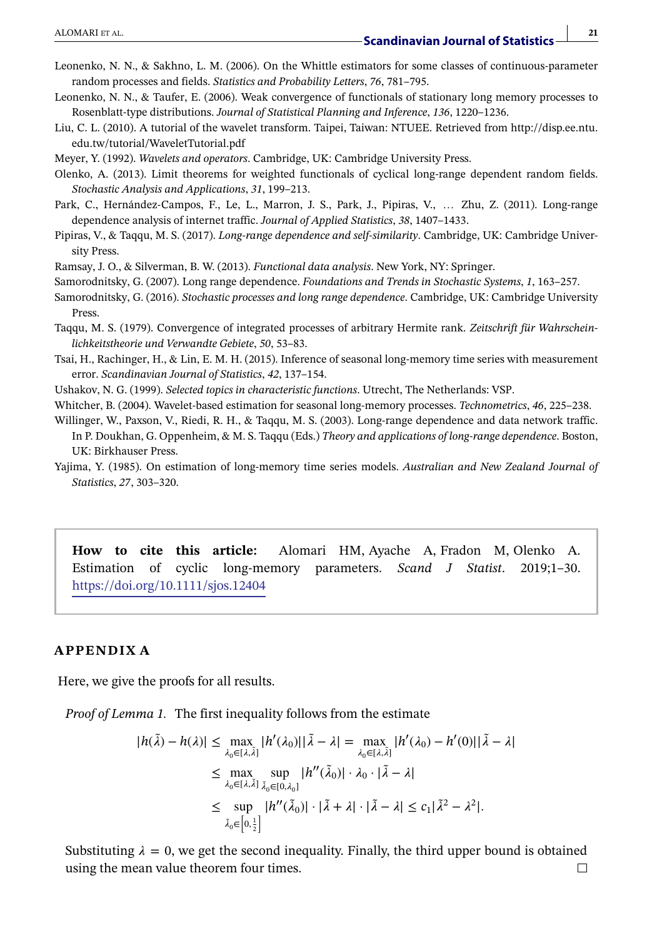- Leonenko, N. N., & Sakhno, L. M. (2006). On the Whittle estimators for some classes of continuous-parameter random processes and fields. *Statistics and Probability Letters*, *76*, 781–795.
- Leonenko, N. N., & Taufer, E. (2006). Weak convergence of functionals of stationary long memory processes to Rosenblatt-type distributions. *Journal of Statistical Planning and Inference*, *136*, 1220–1236.
- Liu, C. L. (2010). A tutorial of the wavelet transform. Taipei, Taiwan: NTUEE. Retrieved from [http://disp.ee.ntu.](http://disp.ee.ntu.edu.tw/tutorial/WaveletTutorial.pdf) [edu.tw/tutorial/WaveletTutorial.pdf](http://disp.ee.ntu.edu.tw/tutorial/WaveletTutorial.pdf)
- Meyer, Y. (1992). *Wavelets and operators*. Cambridge, UK: Cambridge University Press.
- Olenko, A. (2013). Limit theorems for weighted functionals of cyclical long-range dependent random fields. *Stochastic Analysis and Applications*, *31*, 199–213.
- Park, C., Hernández-Campos, F., Le, L., Marron, J. S., Park, J., Pipiras, V., … Zhu, Z. (2011). Long-range dependence analysis of internet traffic. *Journal of Applied Statistics*, *38*, 1407–1433.
- Pipiras, V., & Taqqu, M. S. (2017). *Long-range dependence and self-similarity*. Cambridge, UK: Cambridge University Press.
- Ramsay, J. O., & Silverman, B. W. (2013). *Functional data analysis*. New York, NY: Springer.
- Samorodnitsky, G. (2007). Long range dependence. *Foundations and Trends in Stochastic Systems*, *1*, 163–257.
- Samorodnitsky, G. (2016). *Stochastic processes and long range dependence*. Cambridge, UK: Cambridge University Press.
- Taqqu, M. S. (1979). Convergence of integrated processes of arbitrary Hermite rank. *Zeitschrift für Wahrscheinlichkeitstheorie und Verwandte Gebiete*, *50*, 53–83.
- Tsai, H., Rachinger, H., & Lin, E. M. H. (2015). Inference of seasonal long-memory time series with measurement error. *Scandinavian Journal of Statistics*, *42*, 137–154.
- Ushakov, N. G. (1999). *Selected topics in characteristic functions*. Utrecht, The Netherlands: VSP.
- Whitcher, B. (2004). Wavelet-based estimation for seasonal long-memory processes. *Technometrics*, *46*, 225–238.
- Willinger, W., Paxson, V., Riedi, R. H., & Taqqu, M. S. (2003). Long-range dependence and data network traffic. In P. Doukhan, G. Oppenheim, & M. S. Taqqu (Eds.) *Theory and applications of long-range dependence*. Boston, UK: Birkhauser Press.
- Yajima, Y. (1985). On estimation of long-memory time series models. *Australian and New Zealand Journal of Statistics*, *27*, 303–320.

**How to cite this article:** Alomari HM, Ayache A, Fradon M, Olenko A. Estimation of cyclic long-memory parameters. *Scand J Statist*. 2019;1–30. <https://doi.org/10.1111/sjos.12404>

#### **APPENDIX A**

Here, we give the proofs for all results.

*Proof of Lemma 1.* The first inequality follows from the estimate

$$
|h(\tilde{\lambda}) - h(\lambda)| \le \max_{\lambda_0 \in [\lambda, \tilde{\lambda}]} |h'(\lambda_0)| |\tilde{\lambda} - \lambda| = \max_{\lambda_0 \in [\lambda, \tilde{\lambda}]} |h'(\lambda_0) - h'(0)| |\tilde{\lambda} - \lambda|
$$
  
\n
$$
\le \max_{\lambda_0 \in [\lambda, \tilde{\lambda}]} \sup_{\tilde{\lambda}_0 \in [0, \lambda_0]} |h''(\tilde{\lambda}_0)| \cdot \lambda_0 \cdot |\tilde{\lambda} - \lambda|
$$
  
\n
$$
\le \sup_{\tilde{\lambda}_0 \in [0, \frac{1}{2}]} |h''(\tilde{\lambda}_0)| \cdot |\tilde{\lambda} + \lambda| \cdot |\tilde{\lambda} - \lambda| \le c_1 |\tilde{\lambda}^2 - \lambda^2|.
$$

Substituting  $\lambda = 0$ , we get the second inequality. Finally, the third upper bound is obtained using the mean value theorem four times. $\Box$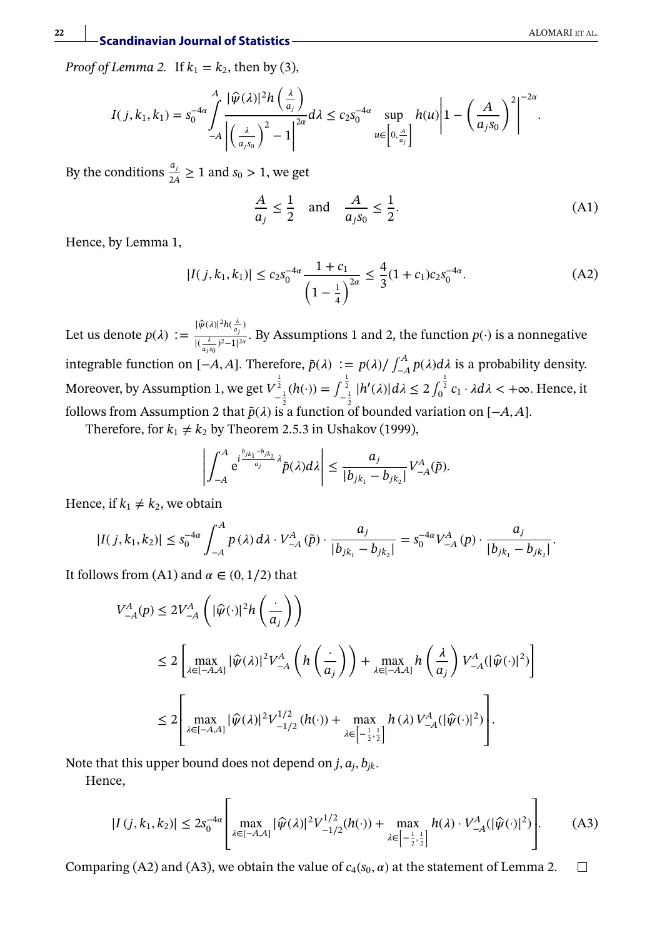*Proof of Lemma 2.* If  $k_1 = k_2$ , then by (3),

$$
I(j,k_1,k_1) = s_0^{-4\alpha} \int_{-A}^{A} \frac{|\widehat{\psi}(\lambda)|^2 h\left(\frac{\lambda}{a_j}\right)}{\left|\left(\frac{\lambda}{a_j s_0}\right)^2 - 1\right|^{2\alpha}} d\lambda \leq c_2 s_0^{-4\alpha} \sup_{u \in \left[0,\frac{A}{a_j}\right]} h(u) \left|1 - \left(\frac{A}{a_j s_0}\right)^2\right|^{-2\alpha}.
$$

By the conditions  $\frac{a_j}{2A} \ge 1$  and  $s_0 > 1$ , we get

$$
\frac{A}{a_j} \le \frac{1}{2} \quad \text{and} \quad \frac{A}{a_j s_0} \le \frac{1}{2}.\tag{A1}
$$

Hence, by Lemma 1,

$$
|I(j,k_1,k_1)| \le c_2 s_0^{-4\alpha} \frac{1+c_1}{\left(1-\frac{1}{4}\right)^{2\alpha}} \le \frac{4}{3} (1+c_1) c_2 s_0^{-4\alpha}.
$$
 (A2)

Let us denote  $p(\lambda) := \frac{|\widehat{\psi}(\lambda)|^2 h(\frac{\lambda}{a_j})}{\frac{|\widehat{\psi}(\lambda)|^2}{\lambda} h(\frac{\lambda}{a_j})^2}$  $\frac{a_j}{\sqrt{(\frac{\lambda}{2}-2)^2-1}^{2a}}$ . By Assumptions 1 and 2, the function *p*(·) is a nonnegative integrable function on [−*A,A*]. Therefore,  $\tilde{p}(\lambda) := p(\lambda) / \int_{-A}^{A} p(\lambda) d\lambda$  is a probability density. Moreover, by Assumption 1, we get  $V_{-\frac{1}{2}}^{\frac{1}{2}}(h(\cdot)) = \int_{-\frac{1}{2}}^{\frac{1}{2}} |h'(\lambda)| d\lambda \leq 2 \int_{0}^{\frac{1}{2}} c_1 \cdot \lambda d\lambda < +\infty$ . Hence, it follows from Assumption 2 that  $\tilde{p}(\lambda)$  is a function of bounded variation on [−*A, A*].

Therefore, for  $k_1 \neq k_2$  by Theorem 2.5.3 in Ushakov (1999),

$$
\left|\int_{-A}^A e^{i\frac{b_{jk_1}-b_{jk_2}}{a_j}\lambda} \tilde{p}(\lambda) d\lambda\right| \leq \frac{a_j}{|b_{jk_1}-b_{jk_2}|} V_{-A}^A(\tilde{p}).
$$

Hence, if  $k_1 \neq k_2$ , we obtain

$$
|I(j,k_1,k_2)| \le s_0^{-4\alpha} \int_{-A}^A p(\lambda) d\lambda \cdot V_{-A}^A(\tilde{p}) \cdot \frac{a_j}{|b_{jk_1} - b_{jk_2}|} = s_0^{-4\alpha} V_{-A}^A(p) \cdot \frac{a_j}{|b_{jk_1} - b_{jk_2}|}.
$$

It follows from (A1) and  $\alpha \in (0, 1/2)$  that

$$
\begin{split} V_{-A}^A(p)&\leq 2V_{-A}^A\left(|\hat{\psi}(\cdot)|^2h\left(\frac{\cdot}{a_j}\right)\right)\\ &\leq 2\left[\max_{\lambda\in[-A,A]}|\hat{\psi}(\lambda)|^2V_{-A}^A\left(h\left(\frac{\cdot}{a_j}\right)\right)+\max_{\lambda\in[-A,A]}h\left(\frac{\lambda}{a_j}\right)V_{-A}^A(|\hat{\psi}(\cdot)|^2)\right]\\ &\leq 2\left[\max_{\lambda\in[-A,A]}|\hat{\psi}(\lambda)|^2V_{-1/2}^{1/2}\left(h(\cdot)\right)+\max_{\lambda\in\left[-\frac{1}{2},\frac{1}{2}\right]}h(\lambda)V_{-A}^A(|\hat{\psi}(\cdot)|^2)\right]. \end{split}
$$

Note that this upper bound does not depend on  $j$ ,  $a_j$ ,  $b_{jk}$ .

Hence,

$$
|I(j,k_1,k_2)| \le 2s_0^{-4\alpha} \left[ \max_{\lambda \in [-A,A]} |\widehat{\psi}(\lambda)|^2 V_{-1/2}^{1/2}(h(\cdot)) + \max_{\lambda \in \left[-\frac{1}{2},\frac{1}{2}\right]} h(\lambda) \cdot V_{-A}^A(|\widehat{\psi}(\cdot)|^2) \right].
$$
 (A3)

Comparing (A2) and (A3), we obtain the value of  $c_4(s_0, \alpha)$  at the statement of Lemma 2.  $\Box$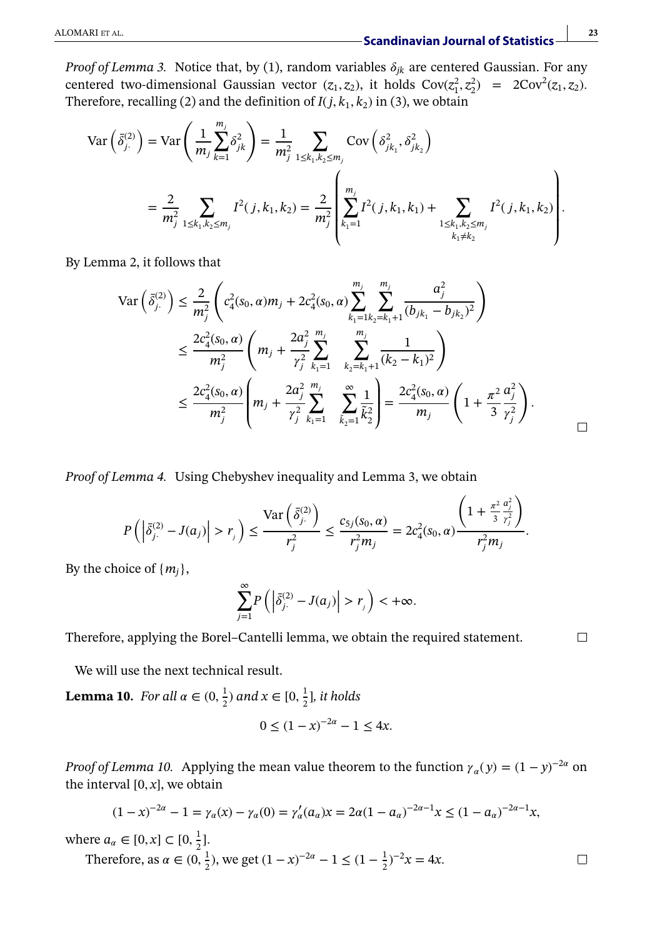*Proof of Lemma 3.* Notice that, by (1), random variables  $\delta_{jk}$  are centered Gaussian. For any centered two-dimensional Gaussian vector  $(z_1, z_2)$ , it holds  $Cov(z_1^2, z_2^2) = 2Cov^2(z_1, z_2)$ *.* Therefore, recalling (2) and the definition of  $I(i, k_1, k_2)$  in (3), we obtain

$$
\operatorname{Var}\left(\bar{\delta}_{j}^{(2)}\right) = \operatorname{Var}\left(\frac{1}{m_{j}}\sum_{k=1}^{m_{j}} \delta_{jk}^{2}\right) = \frac{1}{m_{j}^{2}} \sum_{1 \leq k_{1}, k_{2} \leq m_{j}} \operatorname{Cov}\left(\delta_{jk_{1}}^{2}, \delta_{jk_{2}}^{2}\right)
$$

$$
= \frac{2}{m_{j}^{2}} \sum_{1 \leq k_{1}, k_{2} \leq m_{j}} I^{2}(j, k_{1}, k_{2}) = \frac{2}{m_{j}^{2}} \left(\sum_{k_{1}=1}^{m_{j}} I^{2}(j, k_{1}, k_{1}) + \sum_{\substack{1 \leq k_{1}, k_{2} \leq m_{j} \\ k_{1} \neq k_{2}}} I^{2}(j, k_{1}, k_{2})\right).
$$

By Lemma 2, it follows that

$$
\operatorname{Var}\left(\bar{\delta}_{j\cdot}^{(2)}\right) \leq \frac{2}{m_j^2} \left( c_4^2(s_0, \alpha) m_j + 2c_4^2(s_0, \alpha) \sum_{k_1=1}^{m_j} \sum_{k_2=k_1+1}^{m_j} \frac{a_j^2}{(b_{jk_1} - b_{jk_2})^2} \right)
$$
  

$$
\leq \frac{2c_4^2(s_0, \alpha)}{m_j^2} \left( m_j + \frac{2a_j^2}{\gamma_j^2} \sum_{k_1=1}^{m_j} \sum_{k_2=k_1+1}^{m_j} \frac{1}{(k_2 - k_1)^2} \right)
$$
  

$$
\leq \frac{2c_4^2(s_0, \alpha)}{m_j^2} \left( m_j + \frac{2a_j^2}{\gamma_j^2} \sum_{k_1=1}^{m_j} \sum_{\tilde{k}_2=1}^{\infty} \frac{1}{\tilde{k}_2^2} \right) = \frac{2c_4^2(s_0, \alpha)}{m_j} \left( 1 + \frac{\pi^2}{3} \frac{a_j^2}{\gamma_j^2} \right).
$$

*Proof of Lemma 4.* Using Chebyshev inequality and Lemma 3, we obtain  $\mathcal{L}$ 

$$
P\left(\left|\bar{\delta}_{j\cdot}^{(2)}-J(a_j)\right|>r_j\right)\leq \frac{\text{Var}\left(\bar{\delta}_{j\cdot}^{(2)}\right)}{r_j^2}\leq \frac{c_{5j}(s_0,\alpha)}{r_j^2m_j}=2c_4^2(s_0,\alpha)\frac{\left(1+\frac{\pi^2}{3}\frac{a_j^2}{r_j^2}\right)}{r_j^2m_j}.
$$

By the choice of  $\{m_i\}$ ,

$$
\sum_{j=1}^{\infty} P\left( \left| \bar{\delta}_{j}^{(2)} - J(a_j) \right| > r_j \right) < +\infty.
$$

Therefore, applying the Borel–Cantelli lemma, we obtain the required statement.

 $\Box$ 

 $\Box$ 

We will use the next technical result.

**Lemma 10.** *For all*  $\alpha \in (0, \frac{1}{2})$  *and*  $x \in [0, \frac{1}{2}]$ *, it holds* 

$$
0 \le (1 - x)^{-2\alpha} - 1 \le 4x.
$$

*Proof of Lemma 10.* Applying the mean value theorem to the function  $\gamma_{\alpha}(y)=(1 - y)^{-2\alpha}$  on the interval  $[0, x]$ , we obtain

$$
(1-x)^{-2\alpha} - 1 = \gamma_{\alpha}(x) - \gamma_{\alpha}(0) = \gamma_{\alpha}'(a_{\alpha})x = 2\alpha(1-a_{\alpha})^{-2\alpha-1}x \le (1-a_{\alpha})^{-2\alpha-1}x,
$$

where  $a_{\alpha} \in [0, x] \subset [0, \frac{1}{2}]$ . Therefore, as  $\alpha \in (0, \frac{1}{2})$ , we get  $(1 - x)^{-2\alpha} - 1 \le (1 - \frac{1}{2})^{-2}x = 4x$ .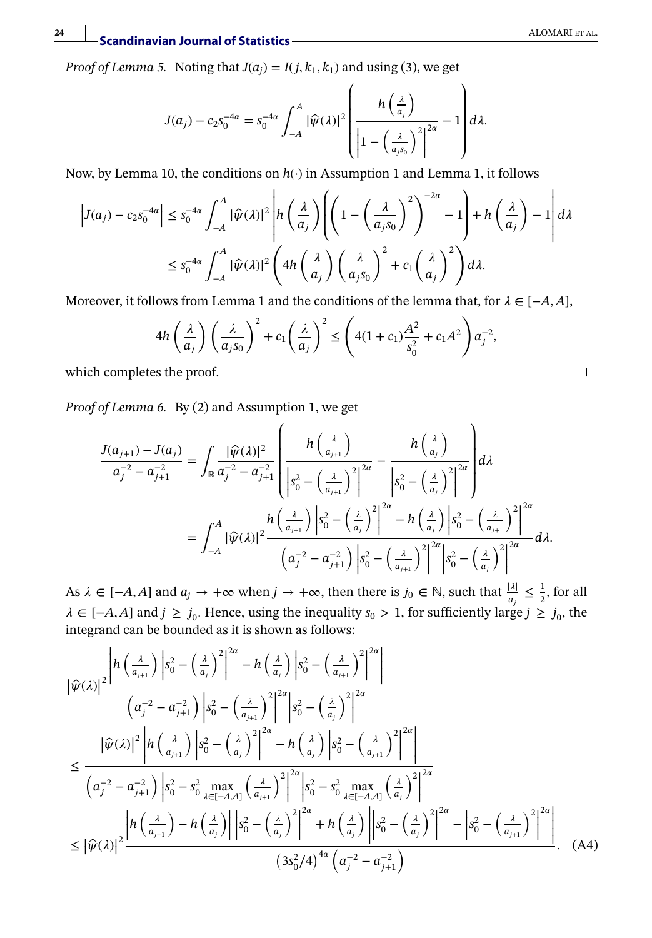*Proof of Lemma 5.* Noting that  $J(a_i) = I(j, k_1, k_1)$  and using (3), we get

$$
J(a_j) - c_2 s_0^{-4\alpha} = s_0^{-4\alpha} \int_{-A}^A |\widehat{\psi}(\lambda)|^2 \left( \frac{h\left(\frac{\lambda}{a_j}\right)}{\left|1 - \left(\frac{\lambda}{a_j s_0}\right)^2\right|^{2\alpha}} - 1 \right) d\lambda.
$$

Now, by Lemma 10, the conditions on *h*(·) in Assumption 1 and Lemma 1, it follows

|

$$
\left| J(a_j) - c_2 s_0^{-4\alpha} \right| \le s_0^{-4\alpha} \int_{-A}^A |\widehat{\psi}(\lambda)|^2 \left| h\left(\frac{\lambda}{a_j}\right) \left( \left( 1 - \left(\frac{\lambda}{a_j s_0}\right)^2 \right)^{-2\alpha} - 1 \right) + h\left(\frac{\lambda}{a_j}\right) - 1 \right| d\lambda
$$
  

$$
\le s_0^{-4\alpha} \int_{-A}^A |\widehat{\psi}(\lambda)|^2 \left( 4h\left(\frac{\lambda}{a_j}\right) \left(\frac{\lambda}{a_j s_0}\right)^2 + c_1 \left(\frac{\lambda}{a_j}\right)^2 \right) d\lambda.
$$

Moreover, it follows from Lemma 1 and the conditions of the lemma that, for  $\lambda \in [-A, A]$ ,

$$
4h\left(\frac{\lambda}{a_j}\right)\left(\frac{\lambda}{a_js_0}\right)^2 + c_1\left(\frac{\lambda}{a_j}\right)^2 \le \left(4(1+c_1)\frac{A^2}{s_0^2} + c_1A^2\right)a_j^{-2},
$$

which completes the proof.

*Proof of Lemma 6.* By (2) and Assumption 1, we get

$$
\frac{J(a_{j+1}) - J(a_j)}{a_j^{-2} - a_{j+1}^{-2}} = \int_{\mathbb{R}} \frac{|\widehat{\psi}(\lambda)|^2}{a_j^{-2} - a_{j+1}^{-2}} \left( \frac{h\left(\frac{\lambda}{a_{j+1}}\right)}{\left|s_0^2 - \left(\frac{\lambda}{a_{j+1}}\right)^2\right|^{2\alpha}} - \frac{h\left(\frac{\lambda}{a_j}\right)}{\left|s_0^2 - \left(\frac{\lambda}{a_j}\right)^2\right|^{2\alpha}} \right) d\lambda
$$
  

$$
= \int_{-A}^A |\widehat{\psi}(\lambda)|^2 \frac{h\left(\frac{\lambda}{a_{j+1}}\right) \left|s_0^2 - \left(\frac{\lambda}{a_j}\right)^2\right|^{2\alpha}}{\left(a_j^{-2} - a_{j+1}^{-2}\right) \left|s_0^2 - \left(\frac{\lambda}{a_{j+1}}\right)^2\right|^{2\alpha}} \right| s_0^2 - \left(\frac{\lambda}{a_j}\right)^2 \left| \frac{a_{j+1}^2}{a_{j+1}^2} \right|^{2\alpha} d\lambda.
$$

As  $\lambda \in [-A, A]$  and  $a_j \to +\infty$  when  $j \to +\infty$ , then there is  $j_0 \in \mathbb{N}$ , such that  $\frac{|\lambda|}{a_j} \leq \frac{1}{2}$ , for all  $\lambda$  ∈ [-*A*, *A*] and  $j \ge j_0$ . Hence, using the inequality  $s_0 > 1$ , for sufficiently large  $j \ge j_0$ , the integrand can be bounded as it is shown as follows:

$$
\left|\hat{\psi}(\lambda)\right|^{2} \frac{\left|h\left(\frac{\lambda}{a_{j+1}}\right)\left|s_{0}^{2}-\left(\frac{\lambda}{a_{j}}\right)^{2}\right|^{2\alpha}-h\left(\frac{\lambda}{a_{j}}\right)\left|s_{0}^{2}-\left(\frac{\lambda}{a_{j+1}}\right)^{2}\right|^{2\alpha}}{\left(a_{j}^{-2}-a_{j+1}^{-2}\right)\left|s_{0}^{2}-\left(\frac{\lambda}{a_{j+1}}\right)^{2}\right|^{2\alpha}}\right|
$$
\n
$$
\leq \frac{\left|\hat{\psi}(\lambda)\right|^{2}\left|h\left(\frac{\lambda}{a_{j+1}}\right)\left|s_{0}^{2}-\left(\frac{\lambda}{a_{j}}\right)^{2}\right|^{2\alpha}-h\left(\frac{\lambda}{a_{j}}\right)\left|s_{0}^{2}-\left(\frac{\lambda}{a_{j+1}}\right)^{2}\right|^{2\alpha}}{\left(a_{j}^{-2}-a_{j+1}^{-2}\right)\left|s_{0}^{2}-s_{0}^{2}\max\limits_{\lambda\in[-A,A]}\left(\frac{\lambda}{a_{j+1}}\right)^{2}\right|^{2\alpha}}\right|
$$
\n
$$
\leq \frac{\left|h\left(\frac{\lambda}{a_{j+1}}\right)-h\left(\frac{\lambda}{a_{j}}\right)\right|\left|s_{0}^{2}-\left(\frac{\lambda}{a_{j}}\right)^{2}\right|^{2\alpha}+h\left(\frac{\lambda}{a_{j}}\right)\left|s_{0}^{2}-\left(\frac{\lambda}{a_{j}}\right)^{2}\right|^{2\alpha}}{\left(3s_{0}^{2}/4\right)^{4\alpha}\left(a_{j}^{-2}-a_{j+1}^{-2}\right)}\right|
$$
\n
$$
\leq \left|\hat{\psi}(\lambda)\right|^{2} \frac{\left|h\left(\frac{\lambda}{a_{j+1}}\right)-h\left(\frac{\lambda}{a_{j}}\right)\right|\left|s_{0}^{2}-\left(\frac{\lambda}{a_{j}}\right)^{2}\right|^{2\alpha}+h\left(\frac{\lambda}{a_{j}}\right)\left|s_{0}^{2}-\left(\frac{\lambda}{a_{j}}\right)^{2}\right|^{2\alpha}}{\left(3s_{0}^{2}/4\right)^{4\alpha}\left(a_{j}^{-2}-a_{j+1}^{-2}\right)}\right|.
$$
\n(A4)

 $\Box$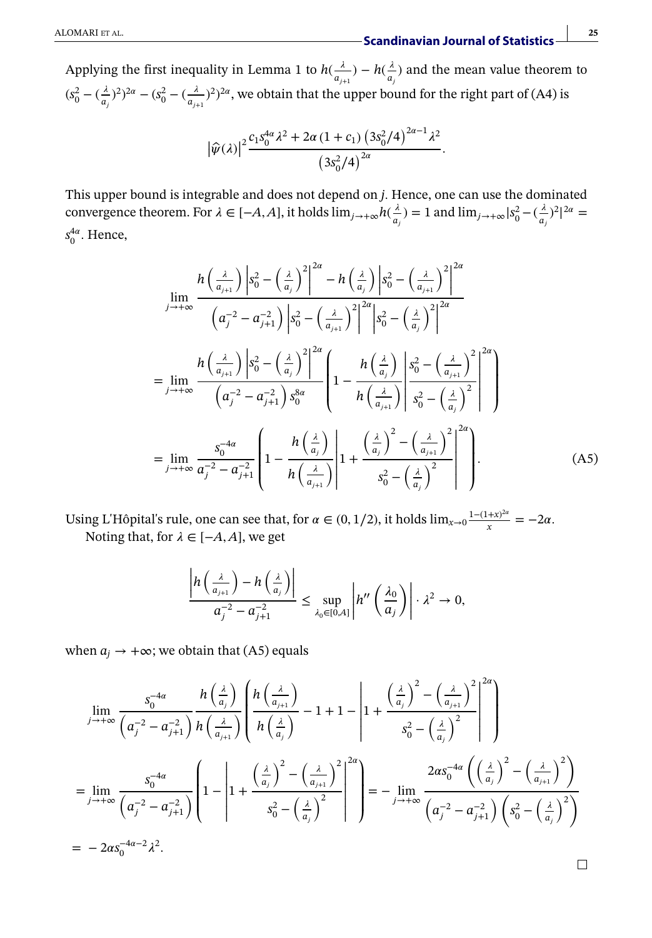Applying the first inequality in Lemma 1 to  $h(\frac{\lambda}{a_{j+1}}) - h(\frac{\lambda}{a_j})$  and the mean value theorem to  $(s_0^2 - (\frac{\lambda}{a_j})^2)^{2\alpha} - (s_0^2 - (\frac{\lambda}{a_{j+1}})^2)^{2\alpha}$ , we obtain that the upper bound for the right part of (A4) is

$$
\bigl|\hat{\psi}(\lambda)\bigr|^2 \frac{c_1 s_0^{4\alpha}\lambda^2 + 2\alpha \left(1 + c_1\right) \left(3 s_0^2/4\right)^{2\alpha - 1} \lambda^2}{\left(3 s_0^2/4\right)^{2\alpha}}.
$$

This upper bound is integrable and does not depend on *j.* Hence, one can use the dominated convergence theorem. For  $\lambda \in [-A, A]$ , it holds  $\lim_{j \to +\infty} h(\frac{\lambda}{a_j}) = 1$  and  $\lim_{j \to +\infty} |s_0^2 - (\frac{\lambda}{a_j})^2|^{2\alpha} =$  $s_0^{4\alpha}$ . Hence,

$$
\lim_{j \to +\infty} \frac{h\left(\frac{\lambda}{a_{j+1}}\right) \left| s_0^2 - \left(\frac{\lambda}{a_j}\right)^2 \right|^{2\alpha} - h\left(\frac{\lambda}{a_j}\right) \left| s_0^2 - \left(\frac{\lambda}{a_{j+1}}\right)^2 \right|^{2\alpha}}{\left(a_j^{-2} - a_{j+1}^{-2}\right) \left| s_0^2 - \left(\frac{\lambda}{a_{j+1}}\right)^2 \right|^{2\alpha}} \left| s_0^2 - \left(\frac{\lambda}{a_j}\right)^2 \right|^{2\alpha}
$$
\n
$$
= \lim_{j \to +\infty} \frac{h\left(\frac{\lambda}{a_{j+1}}\right) \left| s_0^2 - \left(\frac{\lambda}{a_j}\right)^2 \right|^{2\alpha}}{\left(a_j^{-2} - a_{j+1}^{-2}\right) s_0^{8\alpha}} \left(1 - \frac{h\left(\frac{\lambda}{a_j}\right)}{h\left(\frac{\lambda}{a_{j+1}}\right)} \left| s_0^2 - \left(\frac{\lambda}{a_j}\right)^2 \right|^2 \right|^{2\alpha}
$$
\n
$$
= \lim_{j \to +\infty} \frac{s_0^{-4\alpha}}{a_j^{-2} - a_{j+1}^{-2}} \left(1 - \frac{h\left(\frac{\lambda}{a_j}\right)}{h\left(\frac{\lambda}{a_{j+1}}\right)} \left| 1 + \frac{\left(\frac{\lambda}{a_j}\right)^2 - \left(\frac{\lambda}{a_{j+1}}\right)^2}{s_0^2 - \left(\frac{\lambda}{a_j}\right)^2} \right|^2 \right).
$$
\n(A5)

Using L'Hôpital's rule, one can see that, for  $\alpha \in (0, 1/2)$ , it holds  $\lim_{x\to 0} \frac{1-(1+x)^{2\alpha}}{x} = -2\alpha$ . Noting that, for  $\lambda \in [-A, A]$ , we get

$$
\frac{\left| h\left(\frac{\lambda}{a_{j+1}}\right) - h\left(\frac{\lambda}{a_j}\right) \right|}{a_j^{-2} - a_{j+1}^{-2}} \leq \sup_{\lambda_0 \in [0,A]} \left| h''\left(\frac{\lambda_0}{a_j}\right) \right| \cdot \lambda^2 \to 0,
$$

when  $a_i \rightarrow +\infty$ ; we obtain that (A5) equals

 $\mathbb{R}^2$ 

$$
\lim_{j \to +\infty} \frac{s_0^{-4\alpha}}{\left(a_j^{-2} - a_{j+1}^{-2}\right)} \frac{h\left(\frac{\lambda}{a_j}\right)}{h\left(\frac{\lambda}{a_{j+1}}\right)} \left\{\frac{h\left(\frac{\lambda}{a_{j+1}}\right)}{h\left(\frac{\lambda}{a_j}\right)} - 1 + 1 - \left|1 + \frac{\left(\frac{\lambda}{a_j}\right)^2 - \left(\frac{\lambda}{a_{j+1}}\right)^2}{s_0^2 - \left(\frac{\lambda}{a_j}\right)^2}\right|^2\right\}
$$
\n
$$
= \lim_{j \to +\infty} \frac{s_0^{-4\alpha}}{\left(a_j^{-2} - a_{j+1}^{-2}\right)} \left(1 - \left|1 + \frac{\left(\frac{\lambda}{a_j}\right)^2 - \left(\frac{\lambda}{a_{j+1}}\right)^2}{s_0^2 - \left(\frac{\lambda}{a_j}\right)^2}\right|^2\right) = - \lim_{j \to +\infty} \frac{2\alpha s_0^{-4\alpha} \left(\left(\frac{\lambda}{a_j}\right)^2 - \left(\frac{\lambda}{a_{j+1}}\right)^2\right)}{\left(a_j^{-2} - a_{j+1}^{-2}\right)\left(s_0^2 - \left(\frac{\lambda}{a_j}\right)^2\right)}
$$
\n
$$
= -2\alpha s_0^{-4\alpha - 2} \lambda^2.
$$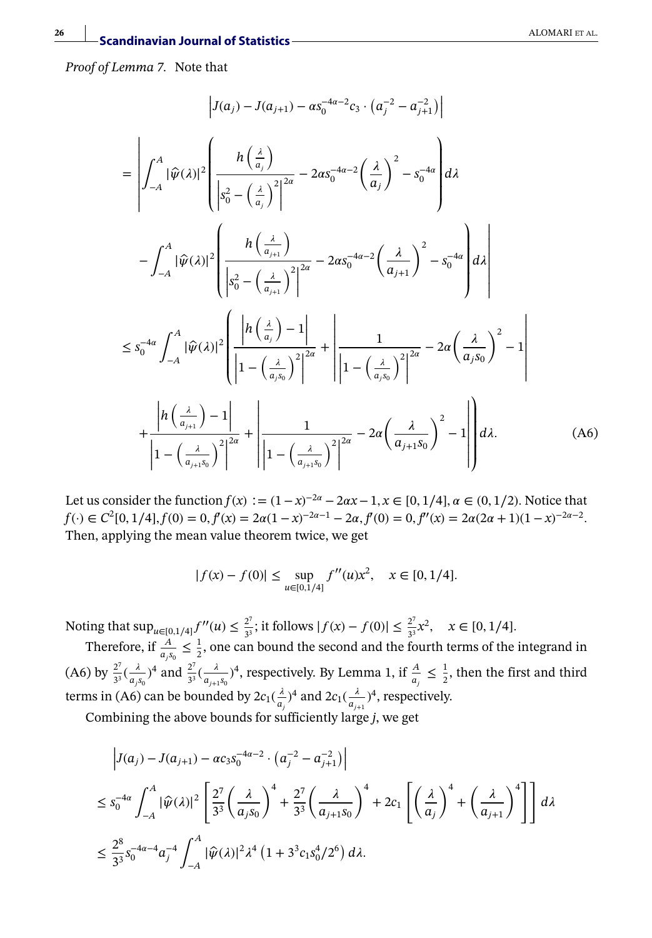*Proof of Lemma 7.* Note that

$$
\left| J(a_{j}) - J(a_{j+1}) - \alpha s_{0}^{-4\alpha - 2} c_{3} \cdot (a_{j}^{-2} - a_{j+1}^{-2}) \right|
$$
\n
$$
= \left| \int_{-A}^{A} |\hat{\psi}(\lambda)|^{2} \left( \frac{h\left(\frac{\lambda}{a_{j}}\right)}{\left| s_{0}^{2} - \left(\frac{\lambda}{a_{j}}\right)^{2} \right|^{2\alpha}} - 2\alpha s_{0}^{-4\alpha - 2} \left(\frac{\lambda}{a_{j}}\right)^{2} - s_{0}^{-4\alpha} \right) d\lambda \right|
$$
\n
$$
- \int_{-A}^{A} |\hat{\psi}(\lambda)|^{2} \left( \frac{h\left(\frac{\lambda}{a_{j+1}}\right)}{\left| s_{0}^{2} - \left(\frac{\lambda}{a_{j+1}}\right)^{2} \right|^{2\alpha}} - 2\alpha s_{0}^{-4\alpha - 2} \left(\frac{\lambda}{a_{j+1}}\right)^{2} - s_{0}^{-4\alpha} \right) d\lambda \right|
$$
\n
$$
\leq s_{0}^{-4\alpha} \int_{-A}^{A} |\hat{\psi}(\lambda)|^{2} \left( \frac{\left| h\left(\frac{\lambda}{a_{j}}\right) - 1 \right|}{\left| 1 - \left(\frac{\lambda}{a_{j}s_{0}}\right)^{2} \right|^{2\alpha}} + \left| \frac{1}{\left| 1 - \left(\frac{\lambda}{a_{j}s_{0}}\right)^{2} \right|^{2\alpha}} - 2\alpha \left(\frac{\lambda}{a_{j}s_{0}}\right)^{2} - 1 \right|
$$
\n
$$
+ \frac{\left| h\left(\frac{\lambda}{a_{j+1}}\right) - 1 \right|}{\left| 1 - \left(\frac{\lambda}{a_{j+1}s_{0}}\right)^{2} \right|^{2\alpha}} + \left| \frac{1}{\left| 1 - \left(\frac{\lambda}{a_{j+1}s_{0}}\right)^{2} \right|^{2\alpha}} - 2\alpha \left(\frac{\lambda}{a_{j+1}s_{0}}\right)^{2} - 1 \right| d\lambda. \tag{A6}
$$

Let us consider the function *f*(*x*) : =  $(1-x)^{-2\alpha} - 2\alpha x - 1$ , *x* ∈ [0, 1/4],  $\alpha$  ∈ (0, 1/2). Notice that  $f(\cdot) \in C^2[0, 1/4], f(0) = 0, f'(x) = 2\alpha(1-x)^{-2\alpha-1} - 2\alpha, f'(0) = 0, f''(x) = 2\alpha(2\alpha+1)(1-x)^{-2\alpha-2}$ . Then, applying the mean value theorem twice, we get

$$
|f(x) - f(0)| \le \sup_{u \in [0,1/4]} f''(u)x^2, \quad x \in [0,1/4].
$$

Noting that  $\sup_{u \in [0,1/4]} f''(u) \le \frac{2^7}{3^3}$ ; it follows  $|f(x) - f(0)| \le \frac{2^7}{3^3}x^2$ ,  $x \in [0,1/4]$ .

Therefore, if  $\frac{A}{a_1 s_0} \leq \frac{1}{2}$ , one can bound the second and the fourth terms of the integrand in (A6) by  $\frac{2^7}{3^3}(\frac{\lambda}{a_1s_0})^4$  and  $\frac{2^7}{3^3}(\frac{\lambda}{a_{j+1}s_0})^4$ , respectively. By Lemma 1, if  $\frac{A}{a_j} \le \frac{1}{2}$ , then the first and third terms in (A6) can be bounded by  $2c_1(\frac{\lambda}{a_j})^4$  and  $2c_1(\frac{\lambda}{a_{j+1}})^4$ , respectively.

Combining the above bounds for sufficiently large *j*, we get

$$
\left| J(a_j) - J(a_{j+1}) - \alpha c_3 s_0^{-4\alpha - 2} \cdot \left( a_j^{-2} - a_{j+1}^{-2} \right) \right|
$$
  
\n
$$
\leq s_0^{-4\alpha} \int_{-A}^{A} |\widehat{\psi}(\lambda)|^2 \left[ \frac{2^7}{3^3} \left( \frac{\lambda}{a_j s_0} \right)^4 + \frac{2^7}{3^3} \left( \frac{\lambda}{a_{j+1} s_0} \right)^4 + 2c_1 \left[ \left( \frac{\lambda}{a_j} \right)^4 + \left( \frac{\lambda}{a_{j+1}} \right)^4 \right] \right] d\lambda
$$
  
\n
$$
\leq \frac{2^8}{3^3} s_0^{-4\alpha - 4} a_j^{-4} \int_{-A}^{A} |\widehat{\psi}(\lambda)|^2 \lambda^4 \left( 1 + 3^3 c_1 s_0^4 / 2^6 \right) d\lambda.
$$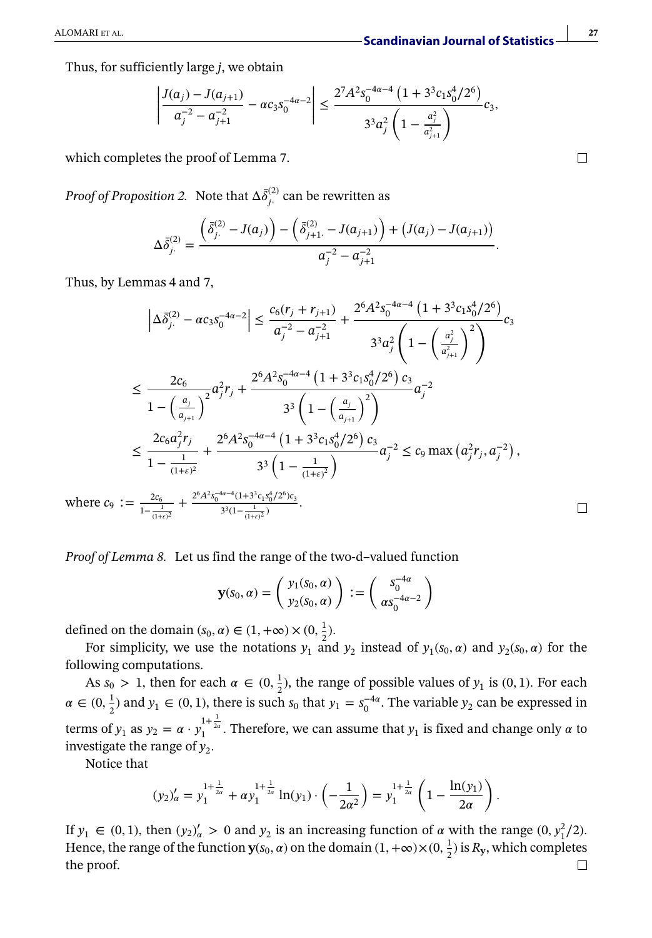*.*

Thus, for sufficiently large *j*, we obtain

$$
\left| \frac{J(a_j) - J(a_{j+1})}{a_j^{-2} - a_{j+1}^{-2}} - \alpha c_3 s_0^{-4\alpha - 2} \right| \le \frac{2^7 A^2 s_0^{-4\alpha - 4} \left(1 + 3^3 c_1 s_0^4 / 2^6\right)}{3^3 a_j^2 \left(1 - \frac{a_j^2}{a_{j+1}^2}\right)} c_3,
$$

which completes the proof of Lemma 7.

*Proof of Proposition 2.* Note that  $\Delta \bar{\delta}^{(2)}_{j}$  can be rewritten as

$$
\Delta \bar{\delta}_{j.}^{(2)} = \frac{\left(\bar{\delta}_{j.}^{(2)} - J(a_j)\right) - \left(\bar{\delta}_{j+1.}^{(2)} - J(a_{j+1})\right) + \left(J(a_j) - J(a_{j+1})\right)}{a_j^{-2} - a_{j+1}^{-2}}
$$

Thus, by Lemmas 4 and 7,

$$
\left| \Delta \bar{\delta}_{j.}^{(2)} - \alpha c_3 s_0^{-4\alpha - 2} \right| \leq \frac{c_6(r_j + r_{j+1})}{a_j^{-2} - a_{j+1}^{-2}} + \frac{2^6 A^2 s_0^{-4\alpha - 4} \left( 1 + 3^3 c_1 s_0^4 / 2^6 \right)}{3^3 a_j^2 \left( 1 - \left( \frac{a_j^2}{a_{j+1}^2} \right)^2 \right)} c_3
$$
  

$$
\leq \frac{2c_6}{1 - \left( \frac{a_j}{a_{j+1}} \right)^2} a_j^2 r_j + \frac{2^6 A^2 s_0^{-4\alpha - 4} \left( 1 + 3^3 c_1 s_0^4 / 2^6 \right) c_3}{3^3 \left( 1 - \left( \frac{a_j}{a_{j+1}} \right)^2 \right)} a_j^{-2}
$$
  

$$
\leq \frac{2c_6 a_j^2 r_j}{1 - \frac{1}{(1 + \epsilon)^2}} + \frac{2^6 A^2 s_0^{-4\alpha - 4} \left( 1 + 3^3 c_1 s_0^4 / 2^6 \right) c_3}{3^3 \left( 1 - \frac{1}{(1 + \epsilon)^2} \right)} a_j^{-2} \leq c_9 \max \left( a_j^2 r_j, a_j^{-2} \right),
$$
  

$$
\vdots = \frac{2c_6}{1 - \frac{1}{(1 + \epsilon)^2}} + \frac{2^6 A^2 s_0^{-4\alpha - 4} (1 + 3^3 c_1 s_0^4 / 2^6) c_3}{3^3 \left( 1 - \frac{1}{(1 + \epsilon)^2} \right)} a_j^{-2} \leq c_9 \max \left( a_j^2 r_j, a_j^{-2} \right),
$$

where *c*<sup>9</sup>  $1-\frac{1}{(1+\epsilon)^2}$ +  $\frac{(1+3\epsilon_1 s_0/2)\epsilon_3}{3^3(1-\frac{1}{(1+\epsilon)^2})}$ .

*Proof of Lemma 8.* Let us find the range of the two-d–valued function

$$
\mathbf{y}(s_0, \alpha) = \begin{pmatrix} y_1(s_0, \alpha) \\ y_2(s_0, \alpha) \end{pmatrix} := \begin{pmatrix} s_0^{-4\alpha} \\ \alpha s_0^{-4\alpha - 2} \end{pmatrix}
$$

defined on the domain  $(s_0, \alpha) \in (1, +\infty) \times (0, \frac{1}{2})$ *.* 

For simplicity, we use the notations  $y_1$  and  $y_2$  instead of  $y_1(s_0, \alpha)$  and  $y_2(s_0, \alpha)$  for the following computations.

As  $s_0 > 1$ , then for each  $\alpha \in (0, \frac{1}{2})$ , the range of possible values of  $y_1$  is  $(0, 1)$ *.* For each  $\alpha \in (0, \frac{1}{2})$  and  $y_1 \in (0, 1)$ , there is such  $s_0$  that  $y_1 = s_0^{-4\alpha}$ . The variable  $y_2$  can be expressed in terms of  $y_1$  as  $y_2 = \alpha \cdot y_1^{1 + \frac{1}{2\alpha}}$ . Therefore, we can assume that  $y_1$  is fixed and change only  $\alpha$  to investigate the range of  $y_2$ .

Notice that

$$
(y_2)'_{\alpha} = y_1^{1 + \frac{1}{2\alpha}} + \alpha y_1^{1 + \frac{1}{2\alpha}} \ln(y_1) \cdot \left(-\frac{1}{2\alpha^2}\right) = y_1^{1 + \frac{1}{2\alpha}} \left(1 - \frac{\ln(y_1)}{2\alpha}\right).
$$

If  $y_1 \in (0, 1)$ , then  $(y_2)'_{\alpha} > 0$  and  $y_2$  is an increasing function of  $\alpha$  with the range  $(0, y_1^2/2)$ . Hence, the range of the function  $\mathbf{y}(s_0, \alpha)$  on the domain  $(1, +\infty) \times (0, \frac{1}{2})$  is  $R_{\mathbf{y}}$ , which completes the proof. $\Box$ 

 $\Box$ 

 $\Box$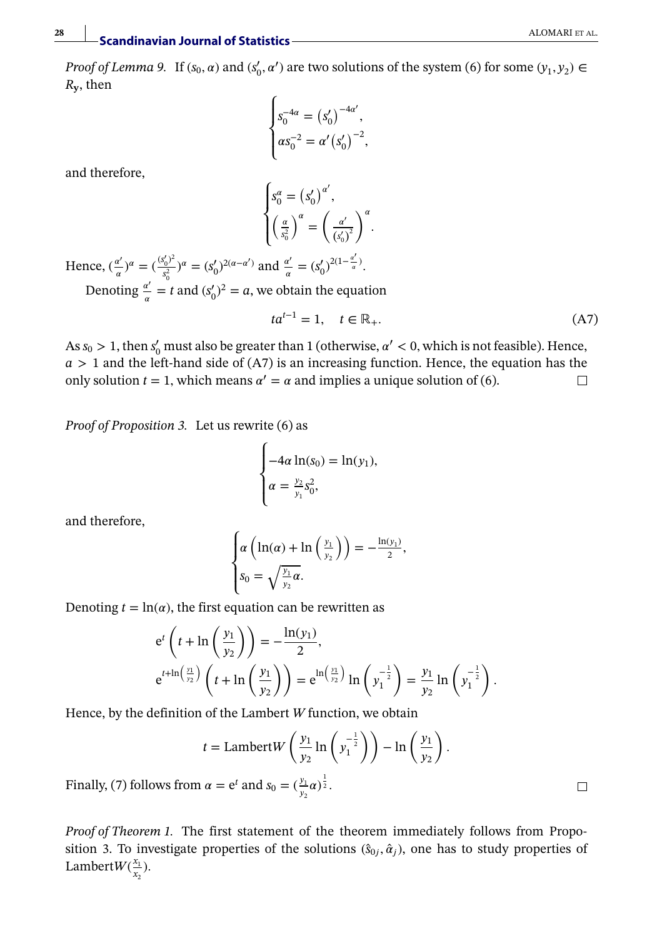*Proof of Lemma 9.* If  $(s_0, \alpha)$  and  $(s'_0, \alpha')$  are two solutions of the system (6) for some  $(y_1, y_2) \in$ *R***y**, then

$$
\begin{cases} s_0^{-4\alpha} = (s'_0)^{-4\alpha'}, \\ \alpha s_0^{-2} = \alpha' (s'_0)^{-2}, \end{cases}
$$

and therefore,

$$
\begin{cases} s_0^\alpha = \left(s_0^\prime\right)^{\alpha^\prime}, \\ \left(\frac{\alpha}{s_0^2}\right)^\alpha = \left(\frac{\alpha^\prime}{\left(s_0^\prime\right)^2}\right)^\alpha. \end{cases}
$$

Hence,  $(\frac{\alpha'}{\alpha})^{\alpha} = (\frac{(s'_0)^2}{s_0^2})$  $s_0^{(1/2)}$ <sub>2</sub><sup>2</sup> = (*s*'<sub>0</sub>)<sup>2( $\alpha - \alpha'$ )</sup> and  $\frac{\alpha'}{\alpha} = (s_0')^{2(1-\frac{\alpha'}{\alpha})}$ . Denoting  $\frac{a'}{a} = t$  and  $(s'_0)^2 = a$ , we obtain the equation

$$
ta^{t-1} = 1, \quad t \in \mathbb{R}_+.
$$
\n
$$
(A7)
$$

As  $s_0 > 1$ , then  $s'_0$  must also be greater than 1 (otherwise,  $\alpha' < 0$ , which is not feasible). Hence, *a >* 1 and the left-hand side of (A7) is an increasing function. Hence, the equation has the only solution  $t = 1$ , which means  $\alpha' = \alpha$  and implies a unique solution of (6).  $\Box$ 

*Proof of Proposition 3.* Let us rewrite (6) as

$$
\begin{cases}\n-4\alpha \ln(s_0) = \ln(y_1), \\
\alpha = \frac{y_2}{y_1} s_0^2,\n\end{cases}
$$

and therefore,

$$
\begin{cases}\n\alpha \left( \ln(\alpha) + \ln \left( \frac{y_1}{y_2} \right) \right) = -\frac{\ln(y_1)}{2}, \\
s_0 = \sqrt{\frac{y_1}{y_2}} \alpha.\n\end{cases}
$$

Denoting  $t = \ln(\alpha)$ , the first equation can be rewritten as

$$
e^{t}\left(t + \ln\left(\frac{y_{1}}{y_{2}}\right)\right) = -\frac{\ln(y_{1})}{2},
$$
  
\n
$$
e^{t + \ln\left(\frac{y_{1}}{y_{2}}\right)}\left(t + \ln\left(\frac{y_{1}}{y_{2}}\right)\right) = e^{\ln\left(\frac{y_{1}}{y_{2}}\right)}\ln\left(y_{1}^{-\frac{1}{2}}\right) = \frac{y_{1}}{y_{2}}\ln\left(y_{1}^{-\frac{1}{2}}\right).
$$

Hence, by the definition of the Lambert *W* function, we obtain

$$
t = \text{Lambert} W\left(\frac{y_1}{y_2}\ln\left(\frac{y_1^{-\frac{1}{2}}}{y_1}\right)\right) - \ln\left(\frac{y_1}{y_2}\right).
$$

Finally, (7) follows from  $\alpha = e^t$  and  $s_0 = (\frac{y_1}{y_2}\alpha)^{\frac{1}{2}}$ .

*Proof of Theorem 1.* The first statement of the theorem immediately follows from Proposition 3. To investigate properties of the solutions  $(\hat{s}_0, \hat{\alpha}_i)$ , one has to study properties of Lambert $W(\frac{x_1}{x_2})$  $\frac{x_1}{x_2}$ ).

 $\Box$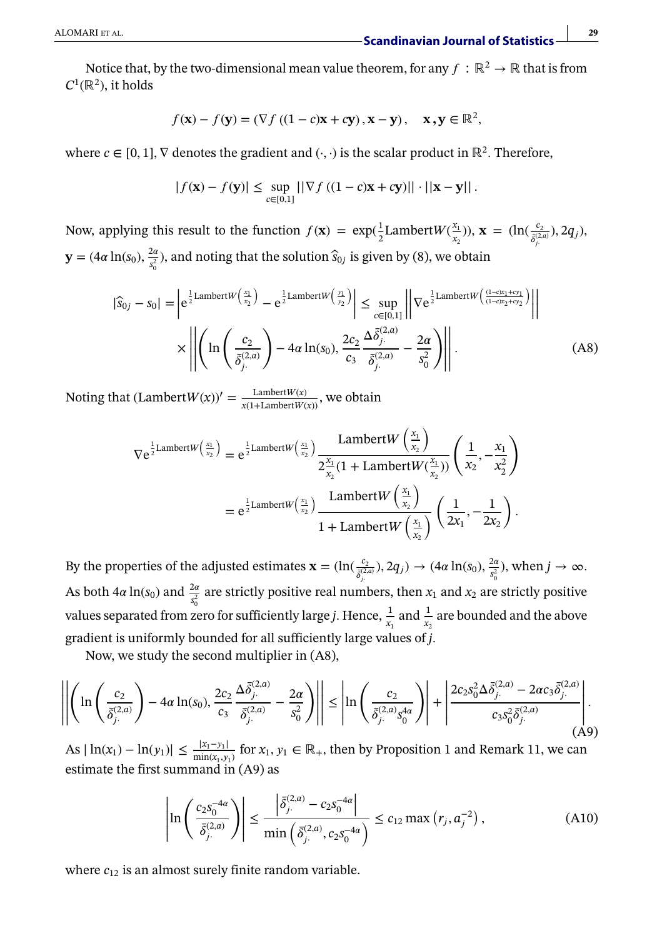Notice that, by the two-dimensional mean value theorem, for any  $f : \mathbb{R}^2 \to \mathbb{R}$  that is from  $C^1(\mathbb{R}^2)$ , it holds

$$
f(\mathbf{x}) - f(\mathbf{y}) = (\nabla f ((1 - c)\mathbf{x} + c\mathbf{y}), \mathbf{x} - \mathbf{y}), \quad \mathbf{x}, \mathbf{y} \in \mathbb{R}^2,
$$

where *c* ∈ [0*,* 1]*,* ∇ denotes the gradient and (·*,* ·) is the scalar product in ℝ<sup>2</sup>*.* Therefore,

$$
|f(\mathbf{x}) - f(\mathbf{y})| \le \sup_{c \in [0,1]} \left| |\nabla f\left((1-c)\mathbf{x} + c\mathbf{y}\right)|| \cdot \left| |\mathbf{x} - \mathbf{y}|\right| \right|.
$$

Now, applying this result to the function  $f(\mathbf{x}) = \exp(\frac{1}{2})$  $\frac{1}{2}$ Lambert $W(\frac{x_1}{x_2})$  $(\frac{x_1}{x_2})$ ),  $\mathbf{x} = (\ln(\frac{c_2}{\delta^{(2,a)}_{j}}), 2q_j)$ ,  $\mathbf{y} = (4\alpha \ln(s_0), \frac{2\alpha}{s_0^2})$ , and noting that the solution  $\hat{s}_{0j}$  is given by (8), we obtain

$$
|\hat{S}_{0j} - S_0| = \left| e^{\frac{1}{2} \text{Lambert}W\left(\frac{x_1}{x_2}\right)} - e^{\frac{1}{2} \text{Lambert}W\left(\frac{y_1}{y_2}\right)} \right| \le \sup_{c \in [0,1]} \left| \nabla e^{\frac{1}{2} \text{Lambert}W\left(\frac{(1-c)x_1 + c y_1}{(1-c)x_2 + c y_2}\right)} \right|
$$

$$
\times \left| \left| \left( \ln \left( \frac{c_2}{\bar{\delta}_{j}^{(2,a)}} \right) - 4\alpha \ln(s_0), \frac{2c_2}{c_3} \frac{\Delta \bar{\delta}_{j}^{(2,a)}}{\bar{\delta}_{j}^{(2,a)}} - \frac{2\alpha}{s_0^2} \right) \right| \right|.
$$
(A8)

Noting that  $(LambertW(x))' = \frac{LambertW(x)}{x(1+LambertW(x))}$ , we obtain

$$
\nabla e^{\frac{1}{2}\text{Lambert}W\left(\frac{x_1}{x_2}\right)} = e^{\frac{1}{2}\text{Lambert}W\left(\frac{x_1}{x_2}\right)} \frac{\text{Lambert}W\left(\frac{x_1}{x_2}\right)}{2\frac{x_1}{x_2}(1 + \text{Lambert}W\left(\frac{x_1}{x_2}\right))} \left(\frac{1}{x_2}, -\frac{x_1}{x_2^2}\right)
$$

$$
= e^{\frac{1}{2}\text{Lambert}W\left(\frac{x_1}{x_2}\right)} \frac{\text{Lambert}W\left(\frac{x_1}{x_2}\right)}{1 + \text{Lambert}W\left(\frac{x_1}{x_2}\right)} \left(\frac{1}{2x_1}, -\frac{1}{2x_2}\right).
$$

By the properties of the adjusted estimates  $\mathbf{x} = (\ln(\frac{c_2}{\delta_j^{(2,a)}}), 2q_j) \rightarrow (4\alpha \ln(s_0), \frac{2\alpha}{s_0^2})$ , when  $j \rightarrow \infty$ . As both  $4\alpha \ln(s_0)$  and  $\frac{2\alpha}{s_0^2}$  are strictly positive real numbers, then  $x_1$  and  $x_2$  are strictly positive values separated from zero for sufficiently large *j*. Hence,  $\frac{1}{x_1}$  and  $\frac{1}{x_2}$  are bounded and the above gradient is uniformly bounded for all sufficiently large values of *j.*

Now, we study the second multiplier in (A8),

$$
\left\| \left( \ln \left( \frac{c_2}{\bar{\delta}_{j.}^{(2,a)}} \right) - 4\alpha \ln(s_0), \frac{2c_2}{c_3} \frac{\Delta \bar{\delta}_{j.}^{(2,a)}}{\bar{\delta}_{j.}^{(2,a)}} - \frac{2\alpha}{s_0^2} \right) \right\| \le \left| \ln \left( \frac{c_2}{\bar{\delta}_{j.}^{(2,a)} s_0^{4a}} \right) \right| + \left| \frac{2c_2 s_0^2 \Delta \bar{\delta}_{j.}^{(2,a)} - 2\alpha c_3 \bar{\delta}_{j.}^{(2,a)}}{c_3 s_0^2 \bar{\delta}_{j.}^{(2,a)}} \right|.
$$
\n(A9)

As  $|\ln(x_1) - \ln(y_1)| \le \frac{|x_1 - y_1|}{\min(x_1, y_1)}$  for  $x_1, y_1 \in \mathbb{R}_+$ , then by Proposition 1 and Remark 11, we can estimate the first summand in (A9) as

$$
\left| \ln \left( \frac{c_2 s_0^{-4\alpha}}{\bar{\delta}_{j}^{(2,a)}} \right) \right| \le \frac{\left| \bar{\delta}_{j}^{(2,a)} - c_2 s_0^{-4\alpha} \right|}{\min \left( \bar{\delta}_{j}^{(2,a)}, c_2 s_0^{-4\alpha} \right)} \le c_{12} \max \left( r_j, a_j^{-2} \right), \tag{A10}
$$

where  $c_{12}$  is an almost surely finite random variable.